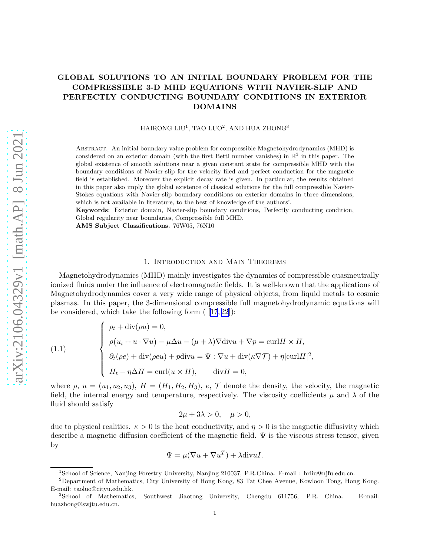# <span id="page-0-0"></span>GLOBAL SOLUTIONS TO AN INITIAL BOUNDARY PROBLEM FOR THE COMPRESSIBLE 3-D MHD EQUATIONS WITH NAVIER-SLIP AND PERFECTLY CONDUCTING BOUNDARY CONDITIONS IN EXTERIOR DOMAINS

 $\rm HAIRONG~LUU^{1},$   $\rm TAO~LUO^{2},$   $\rm AND~HUA~ZHONG^{3}$ 

Abstract. An initial boundary value problem for compressible Magnetohydrodynamics (MHD) is considered on an exterior domain (with the first Betti number vanishes) in  $\mathbb{R}^3$  in this paper. The global existence of smooth solutions near a given constant state for compressible MHD with the boundary conditions of Navier-slip for the velocity filed and perfect conduction for the magnetic field is established. Moreover the explicit decay rate is given. In particular, the results obtained in this paper also imply the global existence of classical solutions for the full compressible Navier-Stokes equations with Navier-slip boundary conditions on exterior domains in three dimensions, which is not available in literature, to the best of knowledge of the authors'.

Keywords: Exterior domain, Navier-slip boundary conditions, Perfectly conducting condition, Global regularity near boundaries, Compressible full MHD.

AMS Subject Classifications. 76W05, 76N10

#### 1. Introduction and Main Theorems

Magnetohydrodynamics (MHD) mainly investigates the dynamics of compressible quasineutrally ionized fluids under the influence of electromagnetic fields. It is well-known that the applications of Magnetohydrodynamics cover a very wide range of physical objects, from liquid metals to cosmic plasmas. In this paper, the 3-dimensional compressible full magnetohydrodynamic equations will beconsidered, which take the following form  $(17, 22)$  $(17, 22)$  $(17, 22)$ :

(1.1) 
$$
\begin{cases} \rho_t + \operatorname{div}(\rho u) = 0, \\ \rho(u_t + u \cdot \nabla u) - \mu \Delta u - (\mu + \lambda) \nabla \operatorname{div} u + \nabla p = \operatorname{curl} H \times H, \\ \partial_t(\rho e) + \operatorname{div}(\rho e u) + p \operatorname{div} u = \Psi : \nabla u + \operatorname{div}(\kappa \nabla T) + \eta |\operatorname{curl} H|^2, \\ H_t - \eta \Delta H = \operatorname{curl}(u \times H), \qquad \operatorname{div} H = 0, \end{cases}
$$

where  $\rho, u = (u_1, u_2, u_3), H = (H_1, H_2, H_3), e, \mathcal{T}$  denote the density, the velocity, the magnetic field, the internal energy and temperature, respectively. The viscosity coefficients  $\mu$  and  $\lambda$  of the fluid should satisfy

$$
2\mu + 3\lambda > 0, \quad \mu > 0,
$$

due to physical realities.  $\kappa > 0$  is the heat conductivity, and  $\eta > 0$  is the magnetic diffusivity which describe a magnetic diffusion coefficient of the magnetic field.  $\Psi$  is the viscous stress tensor, given by

$$
\Psi = \mu (\nabla u + \nabla u^T) + \lambda \text{div} uI.
$$

<sup>&</sup>lt;sup>1</sup>School of Science, Nanjing Forestry University, Nanjing 210037, P.R.China. E-mail: hrliu@njfu.edu.cn.

<sup>2</sup>Department of Mathematics, City University of Hong Kong, 83 Tat Chee Avenue, Kowloon Tong, Hong Kong. E-mail: taoluo@cityu.edu.hk.

<sup>&</sup>lt;sup>3</sup>School of Mathematics, Southwest Jiaotong University, Chengdu 611756, P.R. China. E-mail: huazhong@swjtu.edu.cn.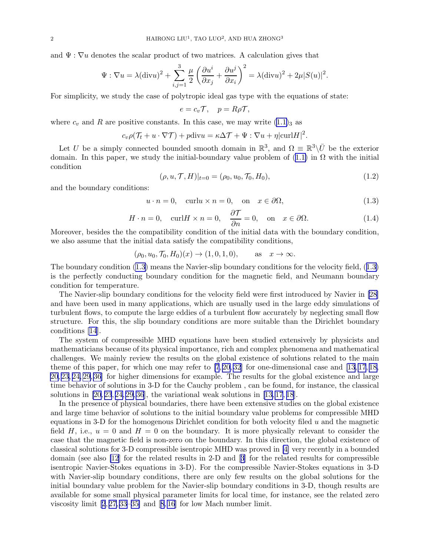<span id="page-1-0"></span>and  $\Psi : \nabla u$  denotes the scalar product of two matrices. A calculation gives that

$$
\Psi : \nabla u = \lambda (\text{div} u)^2 + \sum_{i,j=1}^3 \frac{\mu}{2} \left( \frac{\partial u^i}{\partial x_j} + \frac{\partial u^j}{\partial x_i} \right)^2 = \lambda (\text{div} u)^2 + 2\mu |S(u)|^2.
$$

For simplicity, we study the case of polytropic ideal gas type with the equations of state:

$$
e = c_v \mathcal{T}, \quad p = R\rho \mathcal{T},
$$

where  $c_v$  and R are positive constants. In this case, we may write  $(1.1)_3$  $(1.1)_3$  $(1.1)_3$  as

$$
c_v \rho(\mathcal{T}_t + u \cdot \nabla \mathcal{T}) + p \text{div} u = \kappa \Delta \mathcal{T} + \Psi : \nabla u + \eta |\text{curl} H|^2.
$$

Let U be a simply connected bounded smooth domain in  $\mathbb{R}^3$ , and  $\Omega \equiv \mathbb{R}^3 \setminus \overline{U}$  be the exterior domain.In this paper, we study the initial-boundary value problem of  $(1.1)$  $(1.1)$  in  $\Omega$  with the initial condition

$$
(\rho, u, \mathcal{T}, H)|_{t=0} = (\rho_0, u_0, \mathcal{T}_0, H_0), \qquad (1.2)
$$

and the boundary conditions:

$$
u \cdot n = 0, \quad \text{curl} u \times n = 0, \quad \text{on} \quad x \in \partial \Omega,
$$
\n
$$
(1.3)
$$

$$
H \cdot n = 0, \quad \text{curl} H \times n = 0, \quad \frac{\partial \mathcal{T}}{\partial n} = 0, \quad \text{on} \quad x \in \partial \Omega. \tag{1.4}
$$

Moreover, besides the the compatibility condition of the initial data with the boundary condition, we also assume that the initial data satisfy the compatibility conditions,

$$
(\rho_0, u_0, \mathcal{T}_0, H_0)(x) \to (1, 0, 1, 0),
$$
 as  $x \to \infty$ .

The boundary condition (1.3) means the Navier-slip boundary conditions for the velocity field, (1.3) is the perfectly conducting boundary condition for the magnetic field, and Neumann boundary condition for temperature.

The Navier-slip boundary conditions for the velocity field were first introduced by Navier in [\[28\]](#page-33-0) and have been used in many applications, which are usually used in the large eddy simulations of turbulent flows, to compute the large eddies of a turbulent flow accurately by neglecting small flow structure. For this, the slip boundary conditions are more suitable than the Dirichlet boundary conditions [\[14](#page-32-0)].

The system of compressible MHD equations have been studied extensively by physicists and mathematicians because of its physical importance, rich and complex phenomena and mathematical challenges. We mainly review the results on the global existence of solutions related to the main theme of this paper, for which one may refer to  $[7, 20, 32]$  $[7, 20, 32]$  $[7, 20, 32]$  $[7, 20, 32]$  for one-dimensional case and  $[13, 17, 18,$  $[13, 17, 18,$ [20,](#page-32-0) [23](#page-33-0), [24, 29, 36](#page-33-0)] for higher dimensions for example. The results for the global existence and large time behavior of solutions in 3-D for the Cauchy problem , can be found, for instance, the classical solutions in  $[20, 23, 24, 29, 36]$  $[20, 23, 24, 29, 36]$  $[20, 23, 24, 29, 36]$  $[20, 23, 24, 29, 36]$  $[20, 23, 24, 29, 36]$ , the variational weak solutions in  $[13, 17, 18]$  $[13, 17, 18]$  $[13, 17, 18]$ .

In the presence of physical boundaries, there have been extensive studies on the global existence and large time behavior of solutions to the initial boundary value problems for compressible MHD equations in 3-D for the homogenous Dirichlet condition for both velocity filed  $u$  and the magnetic field H, i.e.,  $u = 0$  and  $H = 0$  on the boundary. It is more physically relevant to consider the case that the magnetic field is non-zero on the boundary. In this direction, the global existence of classical solutions for 3-D compressible isentropic MHD was proved in [\[4\]](#page-32-0) very recently in a bounded domain (see also [\[12](#page-32-0)] for the related results in 2-D and[[3](#page-32-0)] for the related results for compressible isentropic Navier-Stokes equations in 3-D). For the compressible Navier-Stokes equations in 3-D with Navier-slip boundary conditions, there are only few results on the global solutions for the initial boundary value problem for the Navier-slip boundary conditions in 3-D, though results are available for some small physical parameter limits for local time, for instance, see the related zero viscosity limit [\[2](#page-32-0), [27, 33–35\]](#page-33-0) and[[8](#page-32-0), [16](#page-32-0)] for low Mach number limit.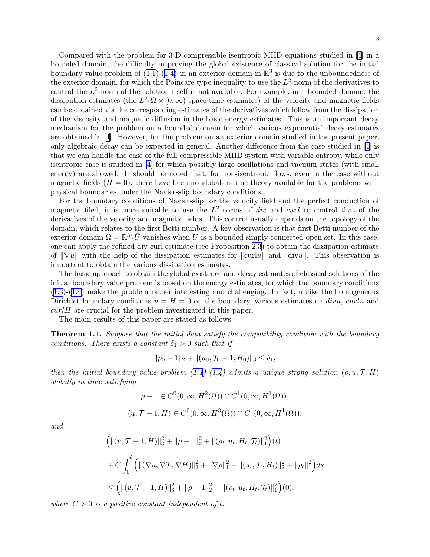<span id="page-2-0"></span>Compared with the problem for 3-D compressible isentropic MHD equations studied in [\[4\]](#page-32-0) in a bounded domain, the difficulty in proving the global existence of classical solution for the initial boundary value problem of  $(1.1)-(1.4)$  $(1.1)-(1.4)$  in an exterior domain in  $\mathbb{R}^3$  is due to the unboundedness of the exterior domain, for which the Poincare type inequality to use the  $L^2$ -norm of the derivatives to control the  $L^2$ -norm of the solution itself is not available. For example, in a bounded domain, the dissipation estimates (the  $L^2(\Omega \times [0, \infty)$  space-time estimates) of the velocity and magnetic fields can be obtained via the corresponding estimates of the derivatives which follow from the dissipation of the viscosity and magnetic diffusion in the basic energy estimates. This is an important decay mechanism for the problem on a bounded domain for which various exponential decay estimates are obtained in[[4](#page-32-0)]. However, for the problem on an exterior domain studied in the present paper, only algebraic decay can be expected in general. Another difference from the case studied in[[4\]](#page-32-0) is that we can handle the case of the full compressible MHD system with variable entropy, while only isentropic case is studied in [\[4\]](#page-32-0) for which possibly large oscillations and vacuum states (with small energy) are allowed. It should be noted that, for non-isentropic flows, even in the case without magnetic fields  $(H = 0)$ , there have been no global-in-time theory available for the problems with physical boundaries under the Navier-slip boundary conditions.

For the boundary conditions of Navier-slip for the velocity field and the perfect conduction of magnetic filed, it is more suitable to use the  $L^2$ -norms of *div* and *curl* to control that of the derivatives of the velocity and magnetic fields. This control usually depends on the topology of the domain, which relates to the first Betti number. A key observation is that first Betti number of the exterior domain  $\Omega = \mathbb{R}^3 \backslash \overline{U}$  vanishes when U is a bounded simply connected open set. In this case, one can apply the refined div-curl estimate (see Proposition [2.3\)](#page-4-0) to obtain the dissipation estimate of  $\|\nabla u\|$  with the help of the dissipation estimates for  $\| \nabla u \|$  and  $\| \nabla u \|$ . This observation is important to obtain the various dissipation estimates.

The basic approach to obtain the global existence and decay estimates of classical solutions of the initial boundary value problem is based on the energy estimates, for which the boundary conditions [\(1.3](#page-1-0))-[\(1.4\)](#page-1-0) make the problem rather interesting and challenging. In fact, unlike the homogeneous Dirichlet boundary conditions  $u = H = 0$  on the boundary, various estimates on *divu*, *curlu* and  $curl H$  are crucial for the problem investigated in this paper.

The main results of this paper are stated as follows.

**Theorem 1.1.** Suppose that the initial data satisfy the compatibility condition with the boundary conditions. There exists a constant  $\delta_1 > 0$  such that if

$$
\|\rho_0 - 1\|_2 + \|(u_0, \mathcal{T}_0 - 1, H_0)\|_3 \le \delta_1,
$$

thenthe initial boundary value problem  $(1.1)-(1.4)$  $(1.1)-(1.4)$  $(1.1)-(1.4)$  $(1.1)-(1.4)$  $(1.1)-(1.4)$  admits a unique strong solution  $(\rho, u, \mathcal{T}, H)$ globally in time satisfying

$$
\rho - 1 \in C^0(0, \infty, H^2(\Omega)) \cap C^1(0, \infty, H^1(\Omega)),
$$
  

$$
(u, \mathcal{T} - 1, H) \in C^0(0, \infty, H^3(\Omega)) \cap C^1(0, \infty, H^1(\Omega)),
$$

and

$$
\begin{aligned}\n\left( \left\| (u, \mathcal{T} - 1, H) \right\|_{3}^{2} + \left\| \rho - 1 \right\|_{2}^{2} + \left\| (\rho_{t}, u_{t}, H_{t}, \mathcal{T}_{t}) \right\|_{1}^{2} \right)(t) \\
&+ C \int_{0}^{t} \left( \left\| (\nabla u, \nabla \mathcal{T}, \nabla H) \right\|_{2}^{2} + \left\| \nabla \rho \right\|_{1}^{2} + \left\| (u_{t}, \mathcal{T}_{t}, H_{t}) \right\|_{2}^{2} + \left\| \rho_{t} \right\|_{1}^{2} \right) ds \\
&\leq \left( \left\| (u, \mathcal{T} - 1, H) \right\|_{3}^{2} + \left\| \rho - 1 \right\|_{2}^{2} + \left\| (\rho_{t}, u_{t}, H_{t}, \mathcal{T}_{t}) \right\|_{1}^{2} \right)(0).\n\end{aligned}
$$

where  $C > 0$  is a positive constant independent of t.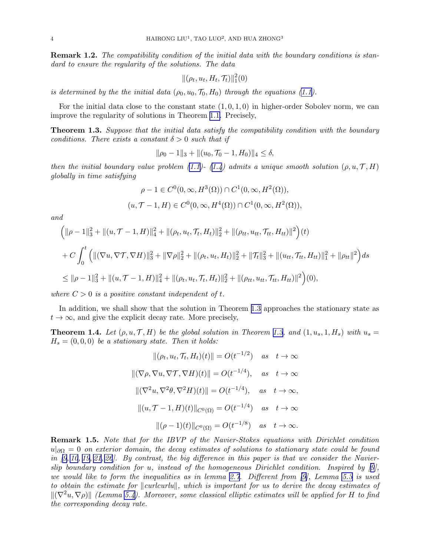<span id="page-3-0"></span>Remark 1.2. The compatibility condition of the initial data with the boundary conditions is standard to ensure the regularity of the solutions. The data

$$
\|(\rho_t, u_t, H_t, \mathcal{T}_t)\|_1^2(0)
$$

is determined by the the initial data  $(\rho_0, u_0, \mathcal{T}_0, H_0)$  through the equations [\(1.1\)](#page-0-0).

For the initial data close to the constant state  $(1, 0, 1, 0)$  in higher-order Sobolev norm, we can improve the regularity of solutions in Theorem [1.1.](#page-2-0) Precisely,

**Theorem 1.3.** Suppose that the initial data satisfy the compatibility condition with the boundary conditions. There exists a constant  $\delta > 0$  such that if

$$
\|\rho_0 - 1\|_3 + \|(u_0, \mathcal{T}_0 - 1, H_0)\|_4 \le \delta,
$$

then the initial boundary value problem [\(1.1\)](#page-0-0)-([1.4](#page-1-0)) admits a unique smooth solution (ρ,  $u, \mathcal{T}, H$ ) globally in time satisfying

$$
\rho - 1 \in C^0(0, \infty, H^3(\Omega)) \cap C^1(0, \infty, H^2(\Omega)),
$$
  

$$
(u, \mathcal{T} - 1, H) \in C^0(0, \infty, H^4(\Omega)) \cap C^1(0, \infty, H^2(\Omega)),
$$

and

$$
\begin{aligned}\n\left(\|\rho-1\|_{3}^{2}+\|(u,\mathcal{T}-1,H)\|_{4}^{2}+\|(\rho_{t},u_{t},\mathcal{T}_{t},H_{t})\|_{2}^{2}+\|(\rho_{tt},u_{tt},\mathcal{T}_{tt},H_{tt})\|^{2}\right)(t) \\
&+C\int_{0}^{t}\left(\|(\nabla u,\nabla\mathcal{T},\nabla H)\|_{3}^{2}+\|\nabla\rho\|_{2}^{2}+\|(\rho_{t},u_{t},H_{t})\|_{2}^{2}+\|\mathcal{T}_{t}\|_{3}^{2}+\|(u_{tt},\mathcal{T}_{tt},H_{tt})\|_{1}^{2}+\|\rho_{tt}\|^{2}\right)ds \\
&\leq \|\rho-1\|_{3}^{2}+\|(u,\mathcal{T}-1,H)\|_{4}^{2}+\|(\rho_{t},u_{t},\mathcal{T}_{t},H_{t})\|_{2}^{2}+\|(\rho_{tt},u_{tt},\mathcal{T}_{tt},H_{tt})\|^{2}\right)(0),\n\end{aligned}
$$

where  $C > 0$  is a positive constant independent of t.

In addition, we shall show that the solution in Theorem 1.3 approaches the stationary state as  $t \to \infty$ , and give the explicit decay rate. More precisely,

**Theorem 1.4.** Let  $(\rho, u, \mathcal{T}, H)$  be the global solution in Theorem 1.3, and  $(1, u_s, 1, H_s)$  with  $u_s =$  $H_s = (0, 0, 0)$  be a stationary state. Then it holds:

 $-1/2$ 

$$
\|(\rho_t, u_t, \mathcal{T}_t, H_t)(t)\| = O(t^{-1/2}) \quad \text{as} \quad t \to \infty
$$
  

$$
\|(\nabla \rho, \nabla u, \nabla \mathcal{T}, \nabla H)(t)\| = O(t^{-1/4}), \quad \text{as} \quad t \to \infty
$$
  

$$
\|(\nabla^2 u, \nabla^2 \theta, \nabla^2 H)(t)\| = O(t^{-1/4}), \quad \text{as} \quad t \to \infty,
$$
  

$$
\|(u, \mathcal{T} - 1, H)(t)\|_{C^0(\Omega)} = O(t^{-1/4}) \quad \text{as} \quad t \to \infty
$$
  

$$
\|(\rho - 1)(t)\|_{C^0(\Omega)} = O(t^{-1/8}) \quad \text{as} \quad t \to \infty.
$$

Remark 1.5. Note that for the IBVP of the Navier-Stokes equations with Dirichlet condition  $u|_{\partial\Omega} = 0$  on exterior domain, the decay estimates of solutions to stationary state could be found in  $[9, 10, 19, 21, 26]$  $[9, 10, 19, 21, 26]$  $[9, 10, 19, 21, 26]$  $[9, 10, 19, 21, 26]$  $[9, 10, 19, 21, 26]$ . By contrast, the big difference in this paper is that we consider the Navierslip boundary condition for u, instead of the homogeneous Dirichlet condition. Inspired by[[9](#page-32-0)], we would like to form the inequalities as in lemma [2.7](#page-5-0). Different from [\[9\]](#page-32-0), Lemma [5.3](#page-27-0) is used to obtain the estimate for  $\Vert \text{curl}\text{curl}\Vert$ , which is important for us to derive the decay estimates of  $\|(\nabla^2 u, \nabla \rho)\|$  (Lemma [5.4\)](#page-29-0). Moreover, some classical elliptic estimates will be applied for H to find the corresponding decay rate.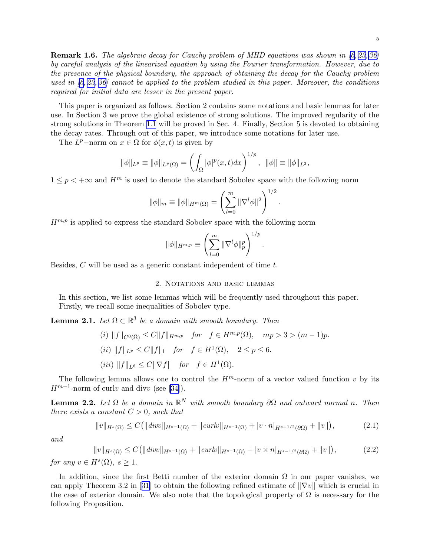<span id="page-4-0"></span>Remark 1.6. The algebraic decay for Cauchy problem of MHD equations was shown in [\[6,](#page-32-0) [23, 36\]](#page-33-0) by careful analysis of the linearized equation by using the Fourier transformation. However, due to the presence of the physical boundary, the approach of obtaining the decay for the Cauchy problem used in  $(6, 23, 36)$  cannot be applied to the problem studied in this paper. Moreover, the conditions required for initial data are lesser in the present paper.

This paper is organized as follows. Section 2 contains some notations and basic lemmas for later use. In Section 3 we prove the global existence of strong solutions. The improved regularity of the strong solutions in Theorem [1.1](#page-2-0) will be proved in Sec. 4. Finally, Section 5 is devoted to obtaining the decay rates. Through out of this paper, we introduce some notations for later use.

The  $L^p$ -norm on  $x \in \Omega$  for  $\phi(x, t)$  is given by

$$
\|\phi\|_{L^p} \equiv \|\phi\|_{L^p(\Omega)} = \left(\int_{\Omega} |\phi|^p(x,t)dx\right)^{1/p}, \ \ \|\phi\| \equiv \|\phi\|_{L^2},
$$

 $1 \leq p \leq +\infty$  and  $H^m$  is used to denote the standard Sobolev space with the following norm

$$
\|\phi\|_{m} \equiv \|\phi\|_{H^{m}(\Omega)} = \left(\sum_{l=0}^{m} \|\nabla^{l}\phi\|^{2}\right)^{1/2}
$$

.

 $H^{m,p}$  is applied to express the standard Sobolev space with the following norm

$$
\|\phi\|_{H^{m,p}} \equiv \left(\sum_{l=0}^m \|\nabla^l \phi\|_p^p\right)^{1/p}.
$$

Besides, C will be used as a generic constant independent of time t.

#### 2. Notations and basic lemmas

In this section, we list some lemmas which will be frequently used throughout this paper. Firstly, we recall some inequalities of Sobolev type.

**Lemma 2.1.** Let  $\Omega \subset \mathbb{R}^3$  be a domain with smooth boundary. Then

(i) 
$$
||f||_{C^{0}(\bar{\Omega})} \leq C||f||_{H^{m,p}}
$$
 for  $f \in H^{m,p}(\Omega)$ ,  $mp > 3 > (m-1)p$ .  
\n(ii)  $||f||_{L^{p}} \leq C||f||_{1}$  for  $f \in H^{1}(\Omega)$ ,  $2 \leq p \leq 6$ .  
\n(iii)  $||f||_{L^{6}} \leq C||\nabla f||$  for  $f \in H^{1}(\Omega)$ .

The following lemma allows one to control the  $H^m$ -norm of a vector valued function v by its  $H^{m-1}$ -norm of curlv and divv (see [\[34\]](#page-33-0)).

**Lemma 2.2.** Let  $\Omega$  be a domain in  $\mathbb{R}^N$  with smooth boundary  $\partial\Omega$  and outward normal n. Then there exists a constant  $C > 0$ , such that

$$
||v||_{H^{s}(\Omega)} \leq C(||div||_{H^{s-1}(\Omega)} + ||curl||_{H^{s-1}(\Omega)} + |v \cdot n|_{H^{s-1/2}(\partial\Omega)} + ||v||),
$$
\n(2.1)

and

$$
||v||_{H^{s}(\Omega)} \le C(||div||_{H^{s-1}(\Omega)} + ||curl||_{H^{s-1}(\Omega)} + |v \times n|_{H^{s-1/2}(\partial\Omega)} + ||v||),
$$
\n(2.2)

for any  $v \in H^s(\Omega)$ ,  $s \geq 1$ .

In addition, since the first Betti number of the exterior domain  $\Omega$  in our paper vanishes, we canapply Theorem 3.2 in [[31\]](#page-33-0) to obtain the following refined estimate of  $\|\nabla v\|$  which is crucial in the case of exterior domain. We also note that the topological property of  $\Omega$  is necessary for the following Proposition.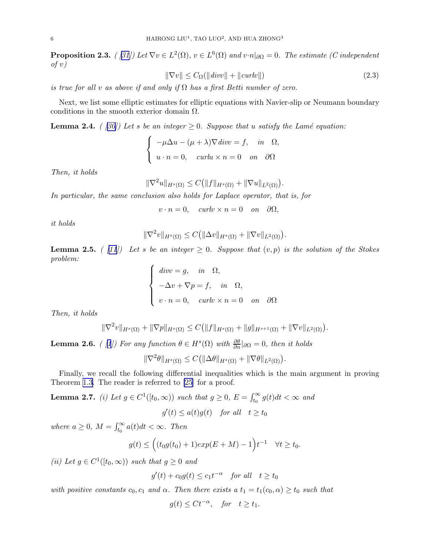<span id="page-5-0"></span>**Proposition2.3.** ( [[31\]](#page-33-0)) Let  $\nabla v \in L^2(\Omega)$ ,  $v \in L^6(\Omega)$  and  $v \cdot n|_{\partial \Omega} = 0$ . The estimate (*C* independent  $of v)$ 

$$
\|\nabla v\| \le C_{\Omega}(\|div\| + \|curl v\|) \tag{2.3}
$$

is true for all v as above if and only if  $\Omega$  has a first Betti number of zero.

Next, we list some elliptic estimates for elliptic equations with Navier-slip or Neumann boundary conditions in the smooth exterior domain  $\Omega$ .

**Lemma2.4.** ( [[30\]](#page-33-0)) Let s be an integer  $\geq 0$ . Suppose that u satisfy the Lamé equation:

$$
\begin{cases}\n-\mu \Delta u - (\mu + \lambda) \nabla \operatorname{div} v = f, & \text{in} \quad \Omega, \\
u \cdot n = 0, & \text{curl} u \times n = 0 \quad \text{on} \quad \partial \Omega\n\end{cases}
$$

Then, it holds

$$
\|\nabla^2 u\|_{H^s(\Omega)} \le C \big(\|f\|_{H^s(\Omega)} + \|\nabla u\|_{L^2(\Omega)}\big).
$$

In particular, the same conclusion also holds for Laplace operator, that is, for

 $v \cdot n = 0$ , curl $v \times n = 0$  on  $\partial \Omega$ ,

it holds

$$
\|\nabla^2 v\|_{H^s(\Omega)} \leq C \big( \|\Delta v\|_{H^s(\Omega)} + \|\nabla v\|_{L^2(\Omega)} \big).
$$

**Lemma 2.5.** ( [\[11](#page-32-0)]) Let s be an integer  $\geq 0$ . Suppose that  $(v, p)$  is the solution of the Stokes problem:

$$
\begin{cases}\n\text{div}v = g, & \text{in } \Omega, \\
-\Delta v + \nabla p = f, & \text{in } \Omega, \\
v \cdot n = 0, & \text{curl}v \times n = 0 \quad \text{on } \partial\Omega\n\end{cases}
$$

Then, it holds

$$
\|\nabla^2 v\|_{H^s(\Omega)} + \|\nabla p\|_{H^s(\Omega)} \leq C \big(\|f\|_{H^s(\Omega)} + \|g\|_{H^{s+1}(\Omega)} + \|\nabla v\|_{L^2(\Omega)}\big).
$$

**Lemma2.6.** ( [[1](#page-32-0)]) For any function  $\theta \in H^s(\Omega)$  with  $\frac{\partial \theta}{\partial n} |_{\partial \Omega} = 0$ , then it holds

$$
\|\nabla^2 \theta\|_{H^s(\Omega)} \le C \big( \|\Delta \theta\|_{H^s(\Omega)} + \|\nabla \theta\|_{L^2(\Omega)} \big).
$$

Finally, we recall the following differential inequalities which is the main argument in proving Theorem [1.3.](#page-3-0) The reader is referred to [\[25](#page-33-0)] for a proof.

**Lemma 2.7.** (i) Let  $g \in C^1([t_0, \infty))$  such that  $g \ge 0$ ,  $E = \int_{t_0}^{\infty} g(t) dt < \infty$  and

$$
g'(t) \le a(t)g(t) \quad \text{for all} \quad t \ge t_0
$$

where  $a \geq 0$ ,  $M = \int_{t_0}^{\infty} a(t)dt < \infty$ . Then

$$
g(t) \le \Big( (t_0 g(t_0) + 1) exp(E + M) - 1 \Big) t^{-1} \quad \forall t \ge t_0.
$$

(ii) Let  $g \in C^1([t_0, \infty))$  such that  $g \ge 0$  and

 $g'(t) + c_0 g(t) \leq c_1 t^{-\alpha}$  for all  $t \geq t_0$ 

with positive constants  $c_0, c_1$  and  $\alpha$ . Then there exists a  $t_1 = t_1(c_0, \alpha) \geq t_0$  such that

$$
g(t) \leq Ct^{-\alpha}
$$
, for  $t \geq t_1$ .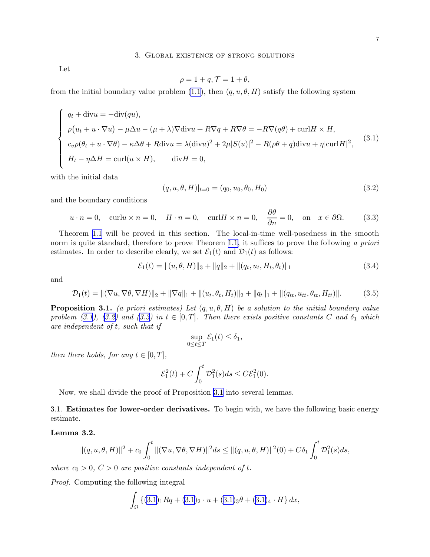<span id="page-6-0"></span>Let

$$
\rho = 1 + q, \mathcal{T} = 1 + \theta,
$$

from the initial boundary value problem [\(1.1\)](#page-0-0), then  $(q, u, \theta, H)$  satisfy the following system

$$
\begin{cases}\nq_t + \text{div}u = -\text{div}(qu), \\
\rho(u_t + u \cdot \nabla u) - \mu \Delta u - (\mu + \lambda) \nabla \text{div}u + R\nabla q + R\nabla \theta = -R\nabla(q\theta) + \text{curl}H \times H, \\
c_v \rho(\theta_t + u \cdot \nabla \theta) - \kappa \Delta \theta + R \text{div}u = \lambda (\text{div}u)^2 + 2\mu |S(u)|^2 - R(\rho\theta + q) \text{div}u + \eta |\text{curl}H|^2,\n\end{cases}
$$
\n(3.1)  
\n
$$
H_t - \eta \Delta H = \text{curl}(u \times H), \quad \text{div}H = 0,
$$

with the initial data

$$
(q, u, \theta, H)|_{t=0} = (q_0, u_0, \theta_0, H_0)
$$
\n(3.2)

and the boundary conditions

$$
u \cdot n = 0
$$
, curl $u \times n = 0$ ,  $H \cdot n = 0$ , curl $H \times n = 0$ ,  $\frac{\partial \theta}{\partial n} = 0$ , on  $x \in \partial \Omega$ . (3.3)

Theorem [1.1](#page-2-0) will be proved in this section. The local-in-time well-posedness in the smooth norm is quite standard, therefore to prove Theorem [1.1,](#page-2-0) it suffices to prove the following a priori estimates. In order to describe clearly, we set  $\mathcal{E}_1(t)$  and  $\mathcal{D}_1(t)$  as follows:

$$
\mathcal{E}_1(t) = ||(u, \theta, H)||_3 + ||q||_2 + ||(q_t, u_t, H_t, \theta_t)||_1
$$
\n(3.4)

and

$$
\mathcal{D}_1(t) = \| (\nabla u, \nabla \theta, \nabla H) \|_2 + \| \nabla q \|_1 + \| (u_t, \theta_t, H_t) \|_2 + \| q_t \|_1 + \| (q_{tt}, u_{tt}, \theta_{tt}, H_{tt}) \|.
$$
(3.5)

**Proposition 3.1.** (a priori estimates) Let  $(q, u, \theta, H)$  be a solution to the initial boundary value problem (3.1), (3.2) and (3.3) in  $t \in [0, T]$ . Then there exists positive constants C and  $\delta_1$  which are independent of t, such that if

$$
\sup_{0\leq t\leq T}\mathcal{E}_1(t)\leq \delta_1,
$$

then there holds, for any  $t \in [0, T]$ ,

$$
\mathcal{E}_1^2(t) + C \int_0^t \mathcal{D}_1^2(s)ds \leq C \mathcal{E}_1^2(0).
$$

Now, we shall divide the proof of Proposition 3.1 into several lemmas.

3.1. Estimates for lower-order derivatives. To begin with, we have the following basic energy estimate.

### Lemma 3.2.

$$
\|(q, u, \theta, H)\|^2 + c_0 \int_0^t \|(\nabla u, \nabla \theta, \nabla H)\|^2 ds \leq \|(q, u, \theta, H)\|^2(0) + C\delta_1 \int_0^t \mathcal{D}_1^2(s) ds,
$$

where  $c_0 > 0$ ,  $C > 0$  are positive constants independent of t.

Proof. Computing the following integral

$$
\int_{\Omega} \left\{ (3.1)_1 Rq + (3.1)_2 \cdot u + (3.1)_3 \theta + (3.1)_4 \cdot H \right\} dx,
$$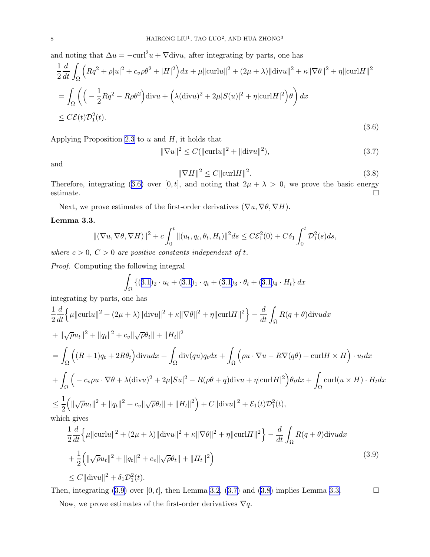<span id="page-7-0"></span>and noting that  $\Delta u = -\text{curl}^2 u + \nabla \text{div} u$ , after integrating by parts, one has

$$
\frac{1}{2}\frac{d}{dt}\int_{\Omega}\left(Rq^2+\rho|u|^2+c_v\rho\theta^2+|H|^2\right)dx+\mu\|\mathrm{curl}u\|^2+(2\mu+\lambda)\|\mathrm{div}u\|^2+\kappa\|\nabla\theta\|^2+\eta\|\mathrm{curl}H\|^2
$$
  

$$
=\int_{\Omega}\left(\left(-\frac{1}{2}Rq^2-R\rho\theta^2\right)\mathrm{div}u+\left(\lambda(\mathrm{div}u)^2+2\mu|S(u)|^2+\eta|\mathrm{curl}H|^2\right)\theta\right)dx
$$
  

$$
\leq C\mathcal{E}(t)\mathcal{D}_1^2(t).
$$
 (3.6)

Applying Proposition [2.3](#page-4-0) to  $u$  and  $H$ , it holds that

$$
\|\nabla u\|^2 \le C(\|\text{curl} u\|^2 + \|\text{div} u\|^2),\tag{3.7}
$$

and

$$
\|\nabla H\|^2 \le C \|\mathrm{curl} H\|^2. \tag{3.8}
$$

Therefore, integrating (3.6) over [0, t], and noting that  $2\mu + \lambda > 0$ , we prove the basic energy estimate.  $\square$ 

Next, we prove estimates of the first-order derivatives  $(\nabla u, \nabla \theta, \nabla H)$ .

### Lemma 3.3.

$$
\|(\nabla u, \nabla \theta, \nabla H)\|^2 + c \int_0^t \|(u_t, q_t, \theta_t, H_t)\|^2 ds \leq C \mathcal{E}_1^2(0) + C \delta_1 \int_0^t \mathcal{D}_1^2(s) ds,
$$

where  $c > 0$ ,  $C > 0$  are positive constants independent of t.

Proof. Computing the following integral

$$
\int_{\Omega} \left\{ (3.1)_2 \cdot u_t + (3.1)_1 \cdot q_t + (3.1)_3 \cdot \theta_t + (3.1)_4 \cdot H_t \right\} dx
$$

integrating by parts, one has

$$
\frac{1}{2}\frac{d}{dt}\left\{\mu\|\mathrm{curl}u\|^2 + (2\mu + \lambda)\|\mathrm{div}u\|^2 + \kappa\|\nabla\theta\|^2 + \eta\|\mathrm{curl}H\|^2\right\} - \frac{d}{dt}\int_{\Omega}R(q+\theta)\mathrm{div}u dx
$$
  
+  $\|\sqrt{\rho}u_t\|^2 + \|q_t\|^2 + c_v\|\sqrt{\rho}\theta_t\| + \|H_t\|^2$   
=  $\int_{\Omega} \left( (R+1)q_t + 2R\theta_t \right) \mathrm{div}u dx + \int_{\Omega} \mathrm{div}(qu)q_t dx + \int_{\Omega} \left(\rho u \cdot \nabla u - R\nabla(q\theta) + \mathrm{curl}H \times H\right) \cdot u_t dx$   
+  $\int_{\Omega} \left( -c_v\rho u \cdot \nabla\theta + \lambda(\mathrm{div}u)^2 + 2\mu|S u|^2 - R(\rho\theta + q)\mathrm{div}u + \eta|\mathrm{curl}H|^2 \right)\theta_t dx + \int_{\Omega} \mathrm{curl}(u \times H) \cdot H_t dx$   
 $\leq \frac{1}{2} \left( \|\sqrt{\rho}u_t\|^2 + \|q_t\|^2 + c_v\|\sqrt{\rho}\theta_t\| + \|H_t\|^2 \right) + C\|\mathrm{div}u\|^2 + \mathcal{E}_1(t)\mathcal{D}_1^2(t),$   
which gives

$$
\frac{1}{2}\frac{d}{dt}\Big\{\mu\|\text{curl}u\|^2 + (2\mu + \lambda)\|\text{div}u\|^2 + \kappa\|\nabla\theta\|^2 + \eta\|\text{curl}H\|^2\Big\} - \frac{d}{dt}\int_{\Omega}R(q+\theta)\text{div}u dx \n+ \frac{1}{2}\Big(\|\sqrt{\rho}u_t\|^2 + \|q_t\|^2 + c_v\|\sqrt{\rho}\theta_t\| + \|H_t\|^2\Big) \n\leq C\|\text{div}u\|^2 + \delta_1\mathcal{D}_1^2(t).
$$
\n(3.9)

Then, integrating (3.9) over [0, t], then Lemma [3.2,](#page-6-0) (3.7) and (3.8) implies Lemma 3.3.

Now, we prove estimates of the first-order derivatives  $\nabla q$ .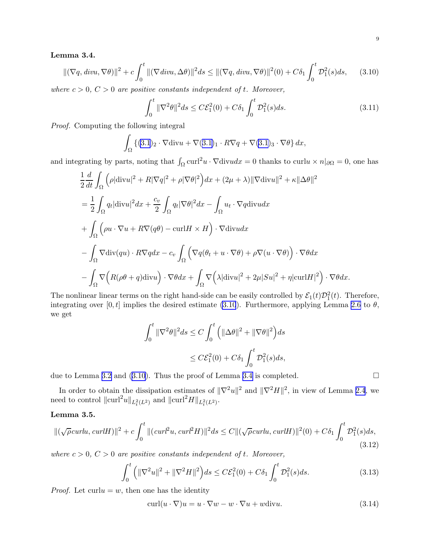## <span id="page-8-0"></span>Lemma 3.4.

$$
\|(\nabla q, \operatorname{div} u, \nabla \theta)\|^2 + c \int_0^t \|(\nabla \operatorname{div} u, \Delta \theta)\|^2 ds \le \|(\nabla q, \operatorname{div} u, \nabla \theta)\|^2(0) + C\delta_1 \int_0^t \mathcal{D}_1^2(s)ds,\qquad(3.10)
$$

where  $c > 0$ ,  $C > 0$  are positive constants independent of t. Moreover,

$$
\int_0^t \|\nabla^2 \theta\|^2 ds \le C \mathcal{E}_1^2(0) + C\delta_1 \int_0^t \mathcal{D}_1^2(s) ds. \tag{3.11}
$$

Proof. Computing the following integral

$$
\int_{\Omega} \left\{ (3.1)_2 \cdot \nabla \text{div} u + \nabla (3.1)_1 \cdot R \nabla q + \nabla (3.1)_3 \cdot \nabla \theta \right\} dx,
$$

and integrating by parts, noting that  $\int_{\Omega} \text{curl}^2 u \cdot \nabla \text{div} u dx = 0$  thanks to  $\text{curl} u \times n|_{\partial \Omega} = 0$ , one has

$$
\frac{1}{2} \frac{d}{dt} \int_{\Omega} \left( \rho |\text{div} u|^2 + R |\nabla q|^2 + \rho |\nabla \theta|^2 \right) dx + (2\mu + \lambda) ||\nabla \text{div} u||^2 + \kappa ||\Delta \theta||^2
$$
\n
$$
= \frac{1}{2} \int_{\Omega} q_t |\text{div} u|^2 dx + \frac{c_v}{2} \int_{\Omega} q_t |\nabla \theta|^2 dx - \int_{\Omega} u_t \cdot \nabla q \text{div} u dx
$$
\n
$$
+ \int_{\Omega} \left( \rho u \cdot \nabla u + R \nabla (q \theta) - \text{curl} H \times H \right) \cdot \nabla \text{div} u dx
$$
\n
$$
- \int_{\Omega} \nabla \text{div} (qu) \cdot R \nabla q dx - c_v \int_{\Omega} \left( \nabla q (\theta_t + u \cdot \nabla \theta) + \rho \nabla (u \cdot \nabla \theta) \right) \cdot \nabla \theta dx
$$
\n
$$
- \int_{\Omega} \nabla \left( R (\rho \theta + q) \text{div} u \right) \cdot \nabla \theta dx + \int_{\Omega} \nabla \left( \lambda |\text{div} u|^2 + 2\mu |S u|^2 + \eta |\text{curl} H|^2 \right) \cdot \nabla \theta dx.
$$

The nonlinear linear terms on the right hand-side can be easily controlled by  $\mathcal{E}_1(t)\mathcal{D}_1^2(t)$ . Therefore, integrating over [0, t] implies the desired estimate (3.10). Furthermore, applying Lemma [2.6](#page-5-0) to  $\theta$ , we get

$$
\int_0^t \|\nabla^2 \theta\|^2 ds \le C \int_0^t \left( \|\Delta \theta\|^2 + \|\nabla \theta\|^2 \right) ds
$$
  

$$
\le C \mathcal{E}_1^2(0) + C \delta_1 \int_0^t \mathcal{D}_1^2(s) ds,
$$

due to Lemma [3.2](#page-6-0) and (3.10). Thus the proof of Lemma [3.4](#page-7-0) is completed.  $\square$ 

In order to obtain the dissipation estimates of  $\|\nabla^2 u\|^2$  and  $\|\nabla^2 H\|^2$ , in view of Lemma [2.4](#page-5-0), we need to control  $\|\text{curl}^2 u\|_{L_t^2(L^2)}$  and  $\|\text{curl}^2 H\|_{L_t^2(L^2)}$ .

### Lemma 3.5.

$$
\|(\sqrt{\rho} \operatorname{curl} u, \operatorname{curl} H)\|^2 + c \int_0^t \|(\operatorname{curl}^2 u, \operatorname{curl}^2 H)\|^2 ds \le C \|(\sqrt{\rho} \operatorname{curl} u, \operatorname{curl} H)\|^2(0) + C \delta_1 \int_0^t \mathcal{D}_1^2(s) ds,
$$
\n(3.12)

where  $c > 0$ ,  $C > 0$  are positive constants independent of t. Moreover,

$$
\int_0^t \left( \|\nabla^2 u\|^2 + \|\nabla^2 H\|^2 \right) ds \le C \mathcal{E}_1^2(0) + C \delta_1 \int_0^t \mathcal{D}_1^2(s) ds. \tag{3.13}
$$

*Proof.* Let curlu = w, then one has the identity

curl $(u \cdot \nabla)u = u \cdot \nabla w - w \cdot \nabla u + w \text{div}u.$  (3.14)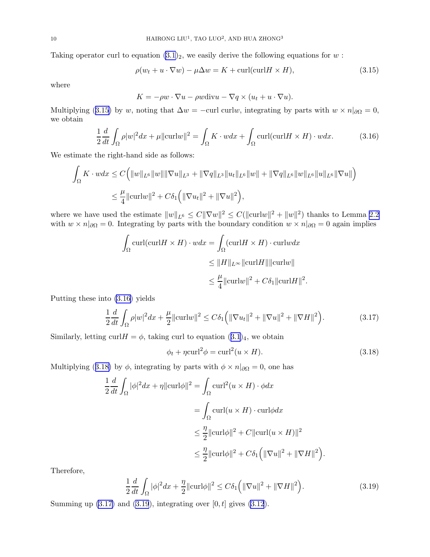<span id="page-9-0"></span>Taking operator curl to equation  $(3.1)_2$ , we easily derive the following equations for w:

$$
\rho(w_t + u \cdot \nabla w) - \mu \Delta w = K + \text{curl}(\text{curl} H \times H), \tag{3.15}
$$

where

$$
K = -\rho w \cdot \nabla u - \rho w \text{div} u - \nabla q \times (u_t + u \cdot \nabla u).
$$

Multiplying (3.15) by w, noting that  $\Delta w = -\text{curl curl} w$ , integrating by parts with  $w \times n|_{\partial\Omega} = 0$ , we obtain

$$
\frac{1}{2}\frac{d}{dt}\int_{\Omega}\rho|w|^2dx + \mu\|\mathrm{curl}w\|^2 = \int_{\Omega}K\cdot wdx + \int_{\Omega}\mathrm{curl}(\mathrm{curl}H\times H)\cdot wdx.
$$
 (3.16)

We estimate the right-hand side as follows:

$$
\int_{\Omega} K \cdot w dx \le C \Big( \|w\|_{L^6} \|w\| \|\nabla u\|_{L^3} + \|\nabla q\|_{L^3} \|u_t\|_{L^6} \|w\| + \|\nabla q\|_{L^6} \|w\|_{L^6} \|u\|_{L^6} \|\nabla u\| \Big)
$$
  

$$
\le \frac{\mu}{4} \|\text{curl} w\|^2 + C\delta_1 \Big( \|\nabla u_t\|^2 + \|\nabla u\|^2 \Big),
$$

where we have used the estimate  $||w||_{L^6} \leq C ||\nabla w||^2 \leq C(||\text{curl} w||^2 + ||w||^2)$  thanks to Lemma [2.2](#page-4-0) with  $w \times n|_{\partial\Omega} = 0$ . Integrating by parts with the boundary condition  $w \times n|_{\partial\Omega} = 0$  again implies

$$
\int_{\Omega} \text{curl}(\text{curl}H \times H) \cdot w dx = \int_{\Omega} (\text{curl}H \times H) \cdot \text{curl}w dx
$$
  
\n
$$
\leq \|H\|_{L^{\infty}} \|\text{curl}H\| \|\text{curl}w\|
$$
  
\n
$$
\leq \frac{\mu}{4} \|\text{curl}w\|^2 + C\delta_1 \|\text{curl}H\|^2.
$$

Putting these into (3.16) yields

$$
\frac{1}{2}\frac{d}{dt}\int_{\Omega}\rho|w|^2dx + \frac{\mu}{2}\|\mathrm{curl}w\|^2 \leq C\delta_1\Big(\|\nabla u_t\|^2 + \|\nabla u\|^2 + \|\nabla H\|^2\Big). \tag{3.17}
$$

Similarly, letting curl  $H = \phi$ , taking curl to equation  $(3.1)_4$  $(3.1)_4$  $(3.1)_4$ , we obtain

$$
\phi_t + \eta \text{curl}^2 \phi = \text{curl}^2 (u \times H). \tag{3.18}
$$

Multiplying (3.18) by  $\phi$ , integrating by parts with  $\phi \times n|_{\partial\Omega} = 0$ , one has

$$
\frac{1}{2} \frac{d}{dt} \int_{\Omega} |\phi|^2 dx + \eta ||\operatorname{curl}\phi||^2 = \int_{\Omega} \operatorname{curl}^2(u \times H) \cdot \phi dx
$$

$$
= \int_{\Omega} \operatorname{curl}(u \times H) \cdot \operatorname{curl}\phi dx
$$

$$
\leq \frac{\eta}{2} ||\operatorname{curl}\phi||^2 + C ||\operatorname{curl}(u \times H)||^2
$$

$$
\leq \frac{\eta}{2} ||\operatorname{curl}\phi||^2 + C\delta_1 \Big( ||\nabla u||^2 + ||\nabla H||^2 \Big).
$$

Therefore,

$$
\frac{1}{2}\frac{d}{dt}\int_{\Omega}|\phi|^2dx + \frac{\eta}{2}\|\mathrm{curl}\phi\|^2 \leq C\delta_1\left(\|\nabla u\|^2 + \|\nabla H\|^2\right). \tag{3.19}
$$

Summing up  $(3.17)$  and  $(3.19)$ , integrating over  $[0, t]$  gives  $(3.12)$ .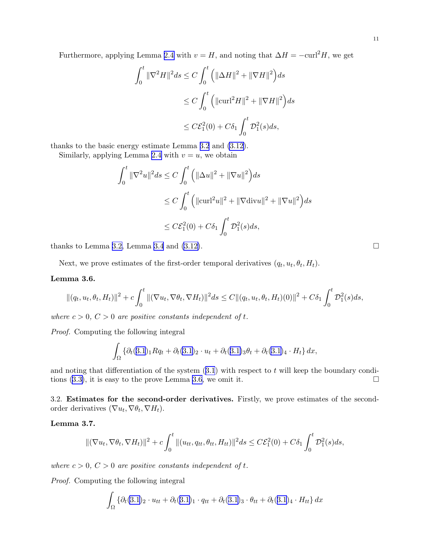<span id="page-10-0"></span>Furthermore, applying Lemma [2.4](#page-5-0) with  $v = H$ , and noting that  $\Delta H = -\text{curl}^2 H$ , we get

$$
\int_0^t \|\nabla^2 H\|^2 ds \le C \int_0^t \left( \|\Delta H\|^2 + \|\nabla H\|^2 \right) ds
$$
  
\n
$$
\le C \int_0^t \left( \|\mathrm{curl}^2 H\|^2 + \|\nabla H\|^2 \right) ds
$$
  
\n
$$
\le C \mathcal{E}_1^2(0) + C \delta_1 \int_0^t \mathcal{D}_1^2(s) ds,
$$

thanks to the basic energy estimate Lemma [3.2](#page-6-0) and [\(3.12\)](#page-8-0).

Similarly, applying Lemma [2.4](#page-5-0) with  $v = u$ , we obtain

$$
\int_0^t \|\nabla^2 u\|^2 ds \le C \int_0^t \left( \|\Delta u\|^2 + \|\nabla u\|^2 \right) ds
$$
  
\n
$$
\le C \int_0^t \left( \|\mathrm{curl}^2 u\|^2 + \|\nabla \mathrm{div} u\|^2 + \|\nabla u\|^2 \right) ds
$$
  
\n
$$
\le C \mathcal{E}_1^2(0) + C \delta_1 \int_0^t \mathcal{D}_1^2(s) ds,
$$

thanks to Lemma [3.2,](#page-6-0) Lemma [3.4](#page-7-0) and [\(3.12\)](#page-8-0).

Next, we prove estimates of the first-order temporal derivatives  $(q_t, u_t, \theta_t, H_t)$ .

#### Lemma 3.6.

$$
\| (q_t, u_t, \theta_t, H_t) \|^2 + c \int_0^t \| (\nabla u_t, \nabla \theta_t, \nabla H_t) \|^2 ds \leq C \| (q_t, u_t, \theta_t, H_t) (0) \|^2 + C \delta_1 \int_0^t \mathcal{D}_1^2(s) ds,
$$

where  $c > 0$ ,  $C > 0$  are positive constants independent of t.

Proof. Computing the following integral

$$
\int_{\Omega} {\{\partial_t (3.1)_1 R q_t + \partial_t (3.1)_2 \cdot u_t + \partial_t (3.1)_3 \theta_t + \partial_t (3.1)_4 \cdot H_t\} dx},
$$

andnoting that differentiation of the system  $(3.1)$  $(3.1)$  $(3.1)$  with respect to t will keep the boundary condi-tions $(3.3)$  $(3.3)$ , it is easy to the prove Lemma 3.6, we omit it.

3.2. Estimates for the second-order derivatives. Firstly, we prove estimates of the secondorder derivatives  $(\nabla u_t, \nabla \theta_t, \nabla H_t)$ .

Lemma 3.7.

$$
\|(\nabla u_t, \nabla \theta_t, \nabla H_t)\|^2 + c \int_0^t \|(u_{tt}, q_{tt}, \theta_{tt}, H_{tt})\|^2 ds \leq C \mathcal{E}_1^2(0) + C \delta_1 \int_0^t \mathcal{D}_1^2(s) ds,
$$

where  $c > 0$ ,  $C > 0$  are positive constants independent of t.

Proof. Computing the following integral

$$
\int_{\Omega} {\partial_t (3.1)_2 \cdot u_{tt} + \partial_t (3.1)_1 \cdot q_{tt} + \partial_t (3.1)_3 \cdot \theta_{tt} + \partial_t (3.1)_4 \cdot H_{tt} } dx
$$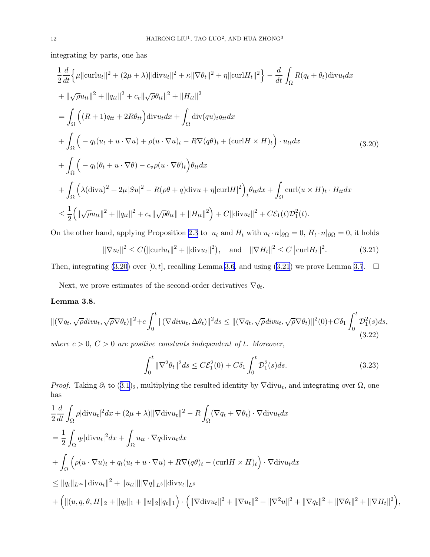<span id="page-11-0"></span>integrating by parts, one has

$$
\frac{1}{2} \frac{d}{dt} \Big\{ \mu \|\mathrm{curl} u_t\|^2 + (2\mu + \lambda) \|\mathrm{div} u_t\|^2 + \kappa \|\nabla \theta_t\|^2 + \eta \|\mathrm{curl} H_t\|^2 \Big\} - \frac{d}{dt} \int_{\Omega} R(q_t + \theta_t) \mathrm{div} u_t dx
$$
\n
$$
+ \|\sqrt{\rho} u_{tt}\|^2 + \|q_{tt}\|^2 + c_v \|\sqrt{\rho} \theta_{tt}\|^2 + \|H_{tt}\|^2
$$
\n
$$
= \int_{\Omega} \Big( (R+1)q_{tt} + 2R\theta_{tt} \Big) \mathrm{div} u_t dx + \int_{\Omega} \mathrm{div}(qu)_t q_{tt} dx
$$
\n
$$
+ \int_{\Omega} \Big( -q_t (u_t + u \cdot \nabla u) + \rho (u \cdot \nabla u)_t - R \nabla (q\theta)_t + (\mathrm{curl} H \times H)_t \Big) \cdot u_{tt} dx
$$
\n
$$
+ \int_{\Omega} \Big( -q_t (\theta_t + u \cdot \nabla \theta) - c_v \rho (u \cdot \nabla \theta)_t \Big) \theta_{tt} dx
$$
\n
$$
+ \int_{\Omega} \Big( \lambda (\mathrm{div} u)^2 + 2\mu |S u|^2 - R(\rho \theta + q) \mathrm{div} u + \eta |\mathrm{curl} H|^2 \Big)_{t} \theta_{tt} dx + \int_{\Omega} \mathrm{curl}(u \times H)_t \cdot H_{tt} dx
$$
\n
$$
\leq \frac{1}{2} \Big( \| \sqrt{\rho} u_{tt} \|^2 + \|q_{tt} \|^2 + c_v \| \sqrt{\rho} \theta_{tt} \| + \|H_{tt} \|^2 \Big) + C \| \mathrm{div} u_t \|^2 + C \mathcal{E}_1(t) \mathcal{D}_1^2(t).
$$
\n(10.11)

On the other hand, applying Proposition [2.3](#page-4-0) to  $u_t$  and  $H_t$  with  $u_t \cdot n|_{\partial\Omega} = 0$ ,  $H_t \cdot n|_{\partial\Omega} = 0$ , it holds

$$
\|\nabla u_t\|^2 \le C \big( \|\mathrm{curl} u_t\|^2 + \|\mathrm{div} u_t\|^2 \big), \quad \text{and} \quad \|\nabla H_t\|^2 \le C \|\mathrm{curl} H_t\|^2. \tag{3.21}
$$

Then, integrating (3.20) over [0, t], recalling Lemma [3.6](#page-10-0), and using (3.21) we prove Lemma [3.7](#page-10-0).  $\Box$ 

Next, we prove estimates of the second-order derivatives  $\nabla q_t$ .

## Lemma 3.8.

$$
\|(\nabla q_t, \sqrt{\rho} \operatorname{div} u_t, \sqrt{\rho} \nabla \theta_t)\|^2 + c \int_0^t \|(\nabla \operatorname{div} u_t, \Delta \theta_t)\|^2 ds \le \|(\nabla q_t, \sqrt{\rho} \operatorname{div} u_t, \sqrt{\rho} \nabla \theta_t)\|^2 (0) + C \delta_1 \int_0^t \mathcal{D}_1^2(s) ds,
$$
\n(3.22)

where  $c > 0$ ,  $C > 0$  are positive constants independent of t. Moreover,

$$
\int_0^t \|\nabla^2 \theta_t\|^2 ds \le C \mathcal{E}_1^2(0) + C \delta_1 \int_0^t \mathcal{D}_1^2(s) ds. \tag{3.23}
$$

*Proof.* Taking  $\partial_t$  to  $(3.1)_2$  $(3.1)_2$  $(3.1)_2$ , multiplying the resulted identity by  $\nabla \text{div} u_t$ , and integrating over  $\Omega$ , one has

$$
\frac{1}{2}\frac{d}{dt}\int_{\Omega}\rho|\text{div}u_t|^2dx + (2\mu + \lambda)\|\nabla\text{div}u_t\|^2 - R\int_{\Omega}(\nabla q_t + \nabla \theta_t) \cdot \nabla \text{div}u_t dx \n= \frac{1}{2}\int_{\Omega}q_t|\text{div}u_t|^2dx + \int_{\Omega}u_{tt} \cdot \nabla q\text{div}u_t dx \n+ \int_{\Omega}\left(\rho(u\cdot \nabla u)_t + q_t(u_t + u\cdot \nabla u) + R\nabla(q\theta)_t - (\text{curl}H \times H)_t\right) \cdot \nabla \text{div}u_t dx \n\leq ||q_t||_{L^{\infty}}||\text{div}u_t||^2 + ||u_{tt}|| ||\nabla q||_{L^3}||\text{div}u_t||_{L^6} \n+ \left(||(u, q, \theta, H||_2 + ||q_t||_1 + ||u||_2||q_t||_1\right) \cdot \left(||\nabla \text{div}u_t||^2 + ||\nabla u_t||^2 + ||\nabla^2 u||^2 + ||\nabla q_t||^2 + ||\nabla \theta_t||^2 + ||\nabla H_t||^2\right),
$$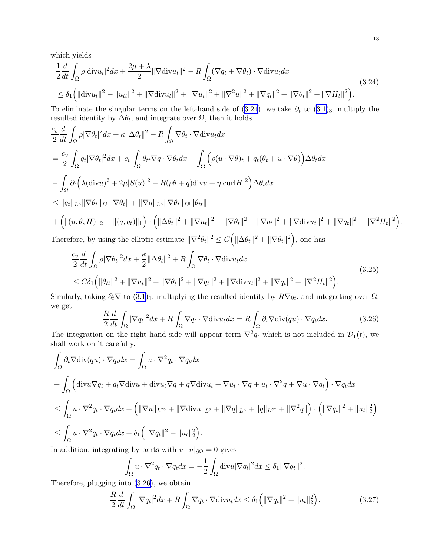<span id="page-12-0"></span>which yields

$$
\frac{1}{2} \frac{d}{dt} \int_{\Omega} \rho |\text{div} u_t|^2 dx + \frac{2\mu + \lambda}{2} ||\nabla \text{div} u_t||^2 - R \int_{\Omega} (\nabla q_t + \nabla \theta_t) \cdot \nabla \text{div} u_t dx
$$
\n(3.24)\n
$$
\leq \delta_1 \left( ||\text{div} u_t||^2 + ||u_{tt}||^2 + ||\nabla \text{div} u_t||^2 + ||\nabla u_t||^2 + ||\nabla^2 u||^2 + ||\nabla q_t||^2 + ||\nabla \theta_t||^2 + ||\nabla H_t||^2 \right).
$$

To eliminate the singular terms on the left-hand side of (3.24), we take  $\partial_t$  to (3.[1\)](#page-6-0)<sub>3</sub>, multiply the resulted identity by  $\Delta\theta_t$ , and integrate over  $\Omega$ , then it holds

$$
\frac{c_v}{2} \frac{d}{dt} \int_{\Omega} \rho |\nabla \theta_t|^2 dx + \kappa ||\Delta \theta_t||^2 + R \int_{\Omega} \nabla \theta_t \cdot \nabla \text{div} u_t dx
$$
\n
$$
= \frac{c_v}{2} \int_{\Omega} q_t |\nabla \theta_t|^2 dx + c_v \int_{\Omega} \theta_{tt} \nabla q \cdot \nabla \theta_t dx + \int_{\Omega} \left( \rho (u \cdot \nabla \theta)_t + q_t (\theta_t + u \cdot \nabla \theta) \right) \Delta \theta_t dx
$$
\n
$$
- \int_{\Omega} \partial_t \left( \lambda (\text{div} u)^2 + 2\mu |S(u)|^2 - R(\rho \theta + q) \text{div} u + \eta |\text{curl} H|^2 \right) \Delta \theta_t dx
$$
\n
$$
\leq ||q_t||_{L^3} ||\nabla \theta_t||_{L^6} ||\nabla \theta_t|| + ||\nabla q||_{L^3} ||\nabla \theta_t||_{L^6} ||\theta_{tt}||
$$
\n
$$
+ \left( ||(u, \theta, H)||_2 + ||(q, q_t)||_1 \right) \cdot \left( ||\Delta \theta_t||^2 + ||\nabla u_t||^2 + ||\nabla \theta_t||^2 + ||\nabla q_t||^2 + ||\nabla \text{div} u_t||^2 + ||\nabla q_t||^2 + ||\nabla q_t||^2 + ||\nabla q_t||^2 + ||\nabla q_t||^2 + ||\nabla^2 H_t||^2 \right).
$$
\nTherefore, by using the glintia estimates  $||\nabla^2 \theta||^2 \leq C \left( ||\Delta \theta||^2 + ||\nabla \theta||^2 \right)$  one has

Therefore, by using the elliptic estimate  $\|\nabla^2 \theta_t\|^2 \le C(|\Delta \theta_t|^2 + \|\nabla \theta_t\|^2)$ , one has

$$
\frac{c_v}{2}\frac{d}{dt}\int_{\Omega}\rho|\nabla\theta_t|^2dx + \frac{\kappa}{2}\|\Delta\theta_t\|^2 + R\int_{\Omega}\nabla\theta_t \cdot \nabla \text{div}u_t dx
$$
\n
$$
\leq C\delta_1\left(\|\theta_{tt}\|^2 + \|\nabla u_t\|^2 + \|\nabla\theta_t\|^2 + \|\nabla q_t\|^2 + \|\nabla \text{div}u_t\|^2 + \|\nabla q_t\|^2 + \|\nabla^2 H_t\|^2\right). \tag{3.25}
$$

Similarly, taking  $\partial_t \nabla$  to  $(3.1)_1$  $(3.1)_1$  $(3.1)_1$ , multiplying the resulted identity by  $R\nabla q_t$ , and integrating over  $\Omega$ , we get

$$
\frac{R}{2}\frac{d}{dt}\int_{\Omega}|\nabla q_t|^2dx + R\int_{\Omega}\nabla q_t \cdot \nabla \text{div}u_t dx = R\int_{\Omega}\partial_t\nabla \text{div}(qu) \cdot \nabla q_t dx. \tag{3.26}
$$

The integration on the right hand side will appear term  $\nabla^2 q_t$  which is not included in  $\mathcal{D}_1(t)$ , we shall work on it carefully.

$$
\int_{\Omega} \partial_t \nabla \text{div}(qu) \cdot \nabla q_t dx = \int_{\Omega} u \cdot \nabla^2 q_t \cdot \nabla q_t dx
$$
\n
$$
+ \int_{\Omega} \left( \text{div} u \nabla q_t + q_t \nabla \text{div} u_t + \text{div} u_t \nabla q + q \nabla \text{div} u_t + \nabla u_t \cdot \nabla q + u_t \cdot \nabla^2 q + \nabla u \cdot \nabla q_t \right) \cdot \nabla q_t dx
$$
\n
$$
\leq \int_{\Omega} u \cdot \nabla^2 q_t \cdot \nabla q_t dx + \left( \|\nabla u\|_{L^\infty} + \|\nabla \text{div} u\|_{L^3} + \|\nabla q\|_{L^3} + \|q\|_{L^\infty} + \|\nabla^2 q\| \right) \cdot \left( \|\nabla q_t\|^2 + \|u_t\|_2^2 \right)
$$
\n
$$
\leq \int_{\Omega} u \cdot \nabla^2 q_t \cdot \nabla q_t dx + \delta_1 \left( \|\nabla q_t\|^2 + \|u_t\|_2^2 \right).
$$
\nIn addition, integrating by parts with  $u : n|_{\Omega} = 0$  gives

In addition, integrating by parts with  $u \cdot n|_{\partial\Omega} = 0$  gives

$$
\int_{\Omega} u \cdot \nabla^2 q_t \cdot \nabla q_t dx = -\frac{1}{2} \int_{\Omega} \text{div} u |\nabla q_t|^2 dx \le \delta_1 ||\nabla q_t||^2.
$$

Therefore, plugging into (3.26), we obtain

$$
\frac{R}{2}\frac{d}{dt}\int_{\Omega}|\nabla q_t|^2dx + R\int_{\Omega}\nabla q_t \cdot \nabla \text{div}u_t dx \leq \delta_1\left(\|\nabla q_t\|^2 + \|u_t\|_2^2\right). \tag{3.27}
$$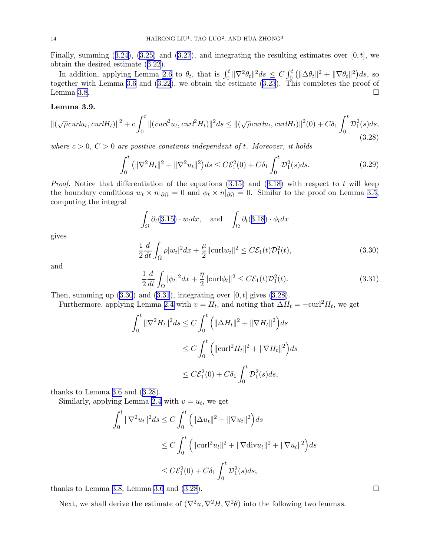<span id="page-13-0"></span>Finally,summing  $(3.24)$  $(3.24)$ ,  $(3.25)$  $(3.25)$  $(3.25)$  and  $(3.27)$  $(3.27)$  $(3.27)$ , and integrating the resulting estimates over  $[0, t]$ , we obtain the desired estimate([3.22\)](#page-11-0).

In addition, applying Lemma [2.6](#page-5-0) to  $\theta_t$ , that is  $\int_0^t \|\nabla^2 \theta_t\|^2 ds \leq C \int_0^t (\|\Delta \theta_t\|^2 + \|\nabla \theta_t\|^2) ds$ , so together with Lemma [3.6](#page-10-0) and [\(3.22](#page-11-0)), we obtain the estimate([3.23\)](#page-11-0). This completes the proof of Lemma [3.8.](#page-11-0)

#### Lemma 3.9.

$$
\|(\sqrt{\rho} \operatorname{curl} u_t, \operatorname{curl} H_t)\|^2 + c \int_0^t \|(\operatorname{curl}^2 u_t, \operatorname{curl}^2 H_t)\|^2 ds \le \|(\sqrt{\rho} \operatorname{curl} u_t, \operatorname{curl} H_t)\|^2(0) + C\delta_1 \int_0^t \mathcal{D}_1^2(s)ds,\tag{3.28}
$$

where  $c > 0$ ,  $C > 0$  are positive constants independent of t. Moreover, it holds

$$
\int_0^t \left( \|\nabla^2 H_t\|^2 + \|\nabla^2 u_t\|^2 \right) ds \le C \mathcal{E}_1^2(0) + C \delta_1 \int_0^t \mathcal{D}_1^2(s) ds. \tag{3.29}
$$

*Proof.*Notice that differentiation of the equations  $(3.15)$  and  $(3.18)$  $(3.18)$  with respect to t will keep the boundary conditions  $w_t \times n|_{\partial\Omega} = 0$  and  $\phi_t \times n|_{\partial\Omega} = 0$ . Similar to the proof on Lemma [3.5,](#page-8-0) computing the integral

$$
\int_{\Omega} \partial_t (3.15) \cdot w_t dx, \quad \text{and} \quad \int_{\Omega} \partial_t (3.18) \cdot \phi_t dx
$$

gives

$$
\frac{1}{2}\frac{d}{dt}\int_{\Omega}\rho|w_t|^2dx + \frac{\mu}{2}||\text{curl}w_t||^2 \leq C\mathcal{E}_1(t)\mathcal{D}_1^2(t),\tag{3.30}
$$

and

$$
\frac{1}{2}\frac{d}{dt}\int_{\Omega}|\phi_t|^2dx + \frac{\eta}{2}\|\mathrm{curl}\phi_t\|^2 \le C\mathcal{E}_1(t)\mathcal{D}_1^2(t). \tag{3.31}
$$

Then, summing up  $(3.30)$  and  $(3.31)$ , integrating over  $[0, t]$  gives  $(3.28)$ .

Furthermore, applying Lemma [2.4](#page-5-0) with  $v = H_t$ , and noting that  $\Delta H_t = -\text{curl}^2 H_t$ , we get

$$
\int_0^t \|\nabla^2 H_t\|^2 ds \le C \int_0^t \left( \|\Delta H_t\|^2 + \|\nabla H_t\|^2 \right) ds
$$
  
\n
$$
\le C \int_0^t \left( \|\mathrm{curl}^2 H_t\|^2 + \|\nabla H_t\|^2 \right) ds
$$
  
\n
$$
\le C \mathcal{E}_1^2(0) + C\delta_1 \int_0^t \mathcal{D}_1^2(s) ds,
$$

thanks to Lemma [3.6](#page-10-0) and (3.28).

Similarly, applying Lemma [2.4](#page-5-0) with  $v = u_t$ , we get

$$
\int_0^t \|\nabla^2 u_t\|^2 ds \le C \int_0^t \left( \|\Delta u_t\|^2 + \|\nabla u_t\|^2 \right) ds
$$
  
\n
$$
\le C \int_0^t \left( \|\mathrm{curl}^2 u_t\|^2 + \|\nabla \mathrm{div} u_t\|^2 + \|\nabla u_t\|^2 \right) ds
$$
  
\n
$$
\le C \mathcal{E}_1^2(0) + C \delta_1 \int_0^t \mathcal{D}_1^2(s) ds,
$$

thanks to Lemma [3.8,](#page-11-0) Lemma [3.6](#page-10-0) and  $(3.28)$ .

Next, we shall derive the estimate of  $(\nabla^2 u, \nabla^2 H, \nabla^2 \theta)$  into the following two lemmas.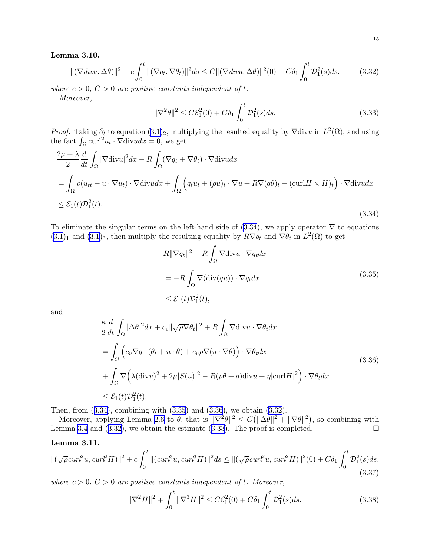#### <span id="page-14-0"></span>Lemma 3.10.

$$
\|(\nabla \operatorname{div} \Lambda \Delta \theta)\|^2 + c \int_0^t \|(\nabla q_t, \nabla \theta_t)\|^2 ds \le C \|(\nabla \operatorname{div} \Lambda \Delta \theta)\|^2(0) + C\delta_1 \int_0^t \mathcal{D}_1^2(s) ds,\tag{3.32}
$$

where  $c > 0$ ,  $C > 0$  are positive constants independent of t.

Moreover,

$$
\|\nabla^2 \theta\|^2 \le C\mathcal{E}_1^2(0) + C\delta_1 \int_0^t \mathcal{D}_1^2(s)ds. \tag{3.33}
$$

*Proof.* Taking  $\partial_t$  to equation  $(3.1)_2$ , multiplying the resulted equality by  $\nabla \text{div}u$  in  $L^2(\Omega)$ , and using the fact  $\int_{\Omega} \text{curl}^2 u_t \cdot \nabla \text{div} u dx = 0$ , we get

$$
\frac{2\mu + \lambda}{2} \frac{d}{dt} \int_{\Omega} |\nabla \text{div} u|^2 dx - R \int_{\Omega} (\nabla q_t + \nabla \theta_t) \cdot \nabla \text{div} u dx
$$
  
= 
$$
\int_{\Omega} \rho (u_{tt} + u \cdot \nabla u_t) \cdot \nabla \text{div} u dx + \int_{\Omega} \left( q_t u_t + (\rho u)_t \cdot \nabla u + R \nabla (q \theta)_t - (\text{curl} H \times H)_t \right) \cdot \nabla \text{div} u dx
$$
  

$$
\leq \mathcal{E}_1(t) \mathcal{D}_1^2(t).
$$
 (3.34)

To eliminate the singular terms on the left-hand side of  $(3.34)$ , we apply operator  $\nabla$  to equations  $(3.1)<sub>1</sub>$  $(3.1)<sub>1</sub>$  and  $(3.1)<sub>3</sub>$ , then multiply the resulting equality by  $R\nabla q_t$  and  $\nabla \theta_t$  in  $L^2(\Omega)$  to get

$$
R \|\nabla q_t\|^2 + R \int_{\Omega} \nabla \text{div} u \cdot \nabla q_t dx
$$
  
=  $-R \int_{\Omega} \nabla (\text{div}(qu)) \cdot \nabla q_t dx$  (3.35)  
 $\leq \mathcal{E}_1(t) \mathcal{D}_1^2(t),$ 

and

$$
\frac{\kappa}{2} \frac{d}{dt} \int_{\Omega} |\Delta \theta|^2 dx + c_v \|\sqrt{\rho} \nabla \theta_t\|^2 + R \int_{\Omega} \nabla \text{div} u \cdot \nabla \theta_t dx
$$
\n
$$
= \int_{\Omega} \left( c_v \nabla q \cdot (\theta_t + u \cdot \theta) + c_v \rho \nabla (u \cdot \nabla \theta) \right) \cdot \nabla \theta_t dx
$$
\n
$$
+ \int_{\Omega} \nabla \left( \lambda (\text{div} u)^2 + 2\mu |S(u)|^2 - R(\rho \theta + q) \text{div} u + \eta |\text{curl} H|^2 \right) \cdot \nabla \theta_t dx
$$
\n
$$
\leq \mathcal{E}_1(t) \mathcal{D}_1^2(t).
$$
\n(3.36)

Then, from (3.34), combining with (3.35) and (3.36), we obtain (3.32).

Moreover, applying Lemma [2.6](#page-5-0) to  $\theta$ , that is  $\|\nabla^2 \theta\|^2 \leq C(\|\Delta \theta\|^2 + \|\nabla \theta\|^2)$ , so combining with Lemma [3.4](#page-7-0) and (3.32), we obtain the estimate (3.33). The proof is completed.  $\square$ 

### Lemma 3.11.

$$
\|(\sqrt{\rho} \operatorname{curl}^2 u, \operatorname{curl}^2 H)\|^2 + c \int_0^t \|(\operatorname{curl}^3 u, \operatorname{curl}^3 H)\|^2 ds \le \|(\sqrt{\rho} \operatorname{curl}^2 u, \operatorname{curl}^2 H)\|^2(0) + C\delta_1 \int_0^t \mathcal{D}_1^2(s)ds,\tag{3.37}
$$

where  $c > 0$ ,  $C > 0$  are positive constants independent of t. Moreover,

$$
\|\nabla^2 H\|^2 + \int_0^t \|\nabla^3 H\|^2 \le C\mathcal{E}_1^2(0) + C\delta_1 \int_0^t \mathcal{D}_1^2(s)ds. \tag{3.38}
$$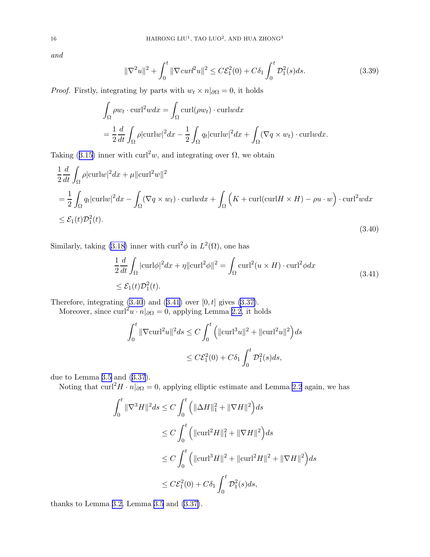<span id="page-15-0"></span>and

$$
\|\nabla^2 u\|^2 + \int_0^t \|\nabla \operatorname{curl}^2 u\|^2 \le C \mathcal{E}_1^2(0) + C\delta_1 \int_0^t \mathcal{D}_1^2(s) ds. \tag{3.39}
$$

*Proof.* Firstly, integrating by parts with  $w_t \times n|_{\partial\Omega} = 0$ , it holds

$$
\int_{\Omega} \rho w_t \cdot \operatorname{curl}^2 w dx = \int_{\Omega} \operatorname{curl}(\rho w_t) \cdot \operatorname{curl}w dx
$$

$$
= \frac{1}{2} \frac{d}{dt} \int_{\Omega} \rho |\operatorname{curl}w|^2 dx - \frac{1}{2} \int_{\Omega} q_t |\operatorname{curl}w|^2 dx + \int_{\Omega} (\nabla q \times w_t) \cdot \operatorname{curl}w dx.
$$

Taking([3.15\)](#page-9-0) inner with curl<sup>2</sup>w, and integrating over  $\Omega$ , we obtain

$$
\frac{1}{2}\frac{d}{dt}\int_{\Omega}\rho|\mathrm{curl}w|^{2}dx + \mu|\mathrm{curl}^{2}w\|^{2}
$$
\n
$$
= \frac{1}{2}\int_{\Omega}q_{t}|\mathrm{curl}w|^{2}dx - \int_{\Omega}(\nabla q \times w_{t}) \cdot \mathrm{curl}wdx + \int_{\Omega}\left(K + \mathrm{curl}(\mathrm{curl}H \times H) - \rho u \cdot w\right) \cdot \mathrm{curl}^{2}wdx
$$
\n
$$
\leq \mathcal{E}_{1}(t)\mathcal{D}_{1}^{2}(t). \tag{3.40}
$$

Similarly, taking (3.[18\)](#page-9-0) inner with  $\mathrm{curl}^2 \phi$  in  $L^2(\Omega)$ , one has

$$
\frac{1}{2}\frac{d}{dt}\int_{\Omega}|\text{curl}\phi|^{2}dx + \eta||\text{curl}^{2}\phi||^{2} = \int_{\Omega}\text{curl}^{2}(u \times H) \cdot \text{curl}^{2}\phi dx
$$
\n
$$
\leq \mathcal{E}_{1}(t)\mathcal{D}_{1}^{2}(t).
$$
\n(3.41)

Therefore, integrating  $(3.40)$  and  $(3.41)$  over  $[0, t]$  gives  $(3.37)$ .

Moreover, since  $\text{curl}^2 u \cdot n|_{\partial\Omega} = 0$ , applying Lemma [2.2,](#page-4-0) it holds

$$
\int_0^t \|\nabla \operatorname{curl}^2 u\|^2 ds \le C \int_0^t \left( \|\operatorname{curl}^3 u\|^2 + \|\operatorname{curl}^2 u\|^2 \right) ds
$$
  

$$
\le C \mathcal{E}_1^2(0) + C \delta_1 \int_0^t \mathcal{D}_1^2(s) ds,
$$

due to Lemma [3.5](#page-8-0) and([3.37](#page-14-0)).

Noting that  $\text{curl}^2H \cdot n|_{\partial\Omega} = 0$ , applying elliptic estimate and Lemma [2.2](#page-4-0) again, we has

$$
\int_0^t \|\nabla^3 H\|^2 ds \le C \int_0^t \left( \|\Delta H\|_1^2 + \|\nabla H\|^2 \right) ds
$$
  
\n
$$
\le C \int_0^t \left( \|\mathrm{curl}^2 H\|_1^2 + \|\nabla H\|^2 \right) ds
$$
  
\n
$$
\le C \int_0^t \left( \|\mathrm{curl}^3 H\|^2 + \|\mathrm{curl}^2 H\|^2 + \|\nabla H\|^2 \right) ds
$$
  
\n
$$
\le C \mathcal{E}_1^2(0) + C \delta_1 \int_0^t \mathcal{D}_1^2(s) ds,
$$

thanks to Lemma [3.2,](#page-6-0) Lemma [3.5](#page-8-0) and [\(3.37\)](#page-14-0).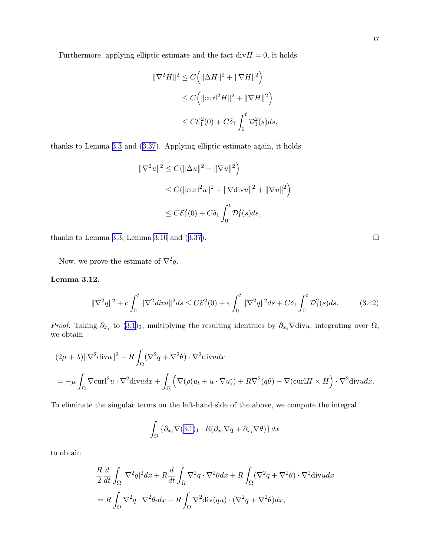<span id="page-16-0"></span>Furthermore, applying elliptic estimate and the fact  $div H = 0$ , it holds

$$
\|\nabla^2 H\|^2 \le C\left(\|\Delta H\|^2 + \|\nabla H\|^2\right)
$$
  
\n
$$
\le C\left(\|\operatorname{curl}^2 H\|^2 + \|\nabla H\|^2\right)
$$
  
\n
$$
\le C\mathcal{E}_1^2(0) + C\delta_1 \int_0^t \mathcal{D}_1^2(s)ds,
$$

thanks to Lemma [3.3](#page-7-0) and([3.37\)](#page-14-0). Applying elliptic estimate again, it holds

$$
\|\nabla^2 u\|^2 \le C(\|\Delta u\|^2 + \|\nabla u\|^2)
$$
  
\n
$$
\le C(\|\text{curl}^2 u\|^2 + \|\nabla \text{div} u\|^2 + \|\nabla u\|^2)
$$
  
\n
$$
\le C\mathcal{E}_1^2(0) + C\delta_1 \int_0^t \mathcal{D}_1^2(s)ds,
$$

thanks to Lemma [3.3,](#page-7-0) Lemma [3.10](#page-13-0)and  $(3.37)$  $(3.37)$ .

Now, we prove the estimate of  $\nabla^2 q$ .

## Lemma 3.12.

$$
\|\nabla^2 q\|^2 + c \int_0^t \|\nabla^2 \operatorname{div} u\|^2 ds \le C \mathcal{E}_1^2(0) + \varepsilon \int_0^t \|\nabla^2 q\|^2 ds + C \delta_1 \int_0^t \mathcal{D}_1^2(s) ds. \tag{3.42}
$$

*Proof.* Taking  $\partial_{x_i}$  to  $(3.1)_2$ , multiplying the resulting identities by  $\partial_{x_i} \nabla \text{div} u$ , integrating over  $\Omega$ , we obtain

$$
(2\mu + \lambda) \|\nabla^2 \operatorname{div} u\|^2 - R \int_{\Omega} (\nabla^2 q + \nabla^2 \theta) \cdot \nabla^2 \operatorname{div} u \, dx
$$
  
=  $-\mu \int_{\Omega} \nabla \operatorname{curl}^2 u \cdot \nabla^2 \operatorname{div} u \, dx + \int_{\Omega} \left( \nabla (\rho (u_t + u \cdot \nabla u)) + R \nabla^2 (q\theta) - \nabla (\operatorname{curl} H \times H) \cdot \nabla^2 \operatorname{div} u \, dx \right).$ 

To eliminate the singular terms on the left-hand side of the above, we compute the integral

$$
\int_{\Omega} \left\{ \partial_{x_i} \nabla (3.1)_1 \cdot R(\partial_{x_i} \nabla q + \partial_{x_i} \nabla \theta) \right\} dx
$$

to obtain

$$
\frac{R}{2}\frac{d}{dt}\int_{\Omega}|\nabla^2 q|^2 dx + R\frac{d}{dt}\int_{\Omega}\nabla^2 q \cdot \nabla^2 \theta dx + R\int_{\Omega}(\nabla^2 q + \nabla^2 \theta) \cdot \nabla^2 \text{div}u dx
$$

$$
= R\int_{\Omega}\nabla^2 q \cdot \nabla^2 \theta_t dx - R\int_{\Omega}\nabla^2 \text{div}(qu) \cdot (\nabla^2 q + \nabla^2 \theta) dx,
$$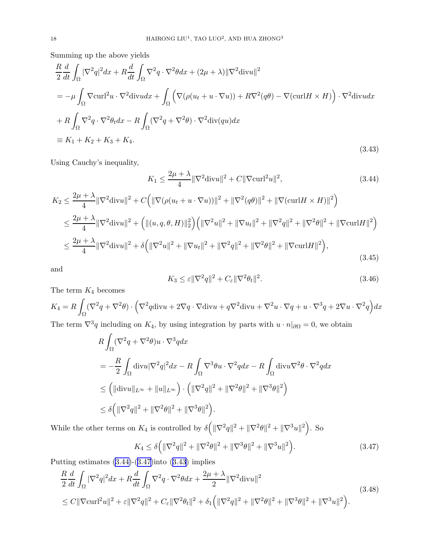Summing up the above yields

$$
\frac{R}{2} \frac{d}{dt} \int_{\Omega} |\nabla^2 q|^2 dx + R \frac{d}{dt} \int_{\Omega} \nabla^2 q \cdot \nabla^2 \theta dx + (2\mu + \lambda) ||\nabla^2 \text{div} u||^2
$$
\n
$$
= -\mu \int_{\Omega} \nabla \text{curl}^2 u \cdot \nabla^2 \text{div} u dx + \int_{\Omega} \left( \nabla (\rho (u_t + u \cdot \nabla u)) + R \nabla^2 (q\theta) - \nabla (\text{curl} H \times H) \right) \cdot \nabla^2 \text{div} u dx
$$
\n
$$
+ R \int_{\Omega} \nabla^2 q \cdot \nabla^2 \theta_t dx - R \int_{\Omega} (\nabla^2 q + \nabla^2 \theta) \cdot \nabla^2 \text{div}(qu) dx
$$
\n
$$
\equiv K_1 + K_2 + K_3 + K_4.
$$
\n(3.43)

Using Cauchy's inequality,

$$
K_1 \le \frac{2\mu + \lambda}{4} \|\nabla^2 \text{div} u\|^2 + C \|\nabla \text{curl}^2 u\|^2,
$$
\n(3.44)

$$
K_2 \le \frac{2\mu + \lambda}{4} \|\nabla^2 \text{div} u\|^2 + C \Big( \|\nabla (\rho (u_t + u \cdot \nabla u))\|^2 + \|\nabla^2 (q\theta)\|^2 + \|\nabla (\text{curl} H \times H)\|^2 \Big)
$$
  

$$
\le \frac{2\mu + \lambda}{4} \|\nabla^2 \text{div} u\|^2 + \Big( \|(u, q, \theta, H)\|^2 \Big) \Big( \|\nabla^2 u\|^2 + \|\nabla u_t\|^2 + \|\nabla^2 q\|^2 + \|\nabla^2 \theta\|^2 + \|\nabla \text{curl} H\|^2 \Big)
$$
  

$$
\le \frac{2\mu + \lambda}{4} \|\nabla^2 \text{div} u\|^2 + \delta \Big( \|\nabla^2 u\|^2 + \|\nabla u_t\|^2 + \|\nabla^2 q\|^2 + \|\nabla^2 \theta\|^2 + \|\nabla \text{curl} H\|^2 \Big),
$$
(3.45)

and

$$
K_3 \le \varepsilon ||\nabla^2 q||^2 + C_{\varepsilon} ||\nabla^2 \theta_t||^2. \tag{3.46}
$$

The term  $K_4$  becomes

 $K_4 = R$ z  $\int_{\Omega} (\nabla^2 q + \nabla^2 \theta) \cdot \Big($  $\nabla^2 q \text{div}u + 2\nabla q \cdot \nabla \text{div}u + q \nabla^2 \text{div}u + \nabla^2 u \cdot \nabla q + u \cdot \nabla^3 q + 2 \nabla u \cdot \nabla^2 q \Big) dx$ The term  $\nabla^3 q$  including on  $K_4$ , by using integration by parts with  $u \cdot n|_{\partial\Omega} = 0$ , we obtain

$$
R \int_{\Omega} (\nabla^2 q + \nabla^2 \theta) u \cdot \nabla^3 q dx
$$
  
=  $-\frac{R}{2} \int_{\Omega} \text{div} u |\nabla^2 q|^2 dx - R \int_{\Omega} \nabla^3 \theta u \cdot \nabla^2 q dx - R \int_{\Omega} \text{div} u \nabla^2 \theta \cdot \nabla^2 q dx$   
 $\leq (||\text{div} u||_{L^{\infty}} + ||u||_{L^{\infty}}) \cdot (||\nabla^2 q||^2 + ||\nabla^2 \theta||^2 + ||\nabla^3 \theta||^2)$   
 $\leq \delta (||\nabla^2 q||^2 + ||\nabla^2 \theta||^2 + ||\nabla^3 \theta||^2).$ 

While the other terms on  $K_4$  is controlled by  $\delta\left(\|\nabla^2 q\|^2 + \|\nabla^2 \theta\|^2 + \|\nabla^3 u\|^2\right)$ . So

$$
K_4 \le \delta \left( \|\nabla^2 q\|^2 + \|\nabla^2 \theta\|^2 + \|\nabla^3 \theta\|^2 + \|\nabla^3 u\|^2 \right). \tag{3.47}
$$

Putting estimates (3.44)-(3.47)into (3.43) implies

$$
\frac{R}{2}\frac{d}{dt}\int_{\Omega}|\nabla^2q|^2dx + R\frac{d}{dt}\int_{\Omega}\nabla^2q\cdot\nabla^2\theta dx + \frac{2\mu+\lambda}{2}\|\nabla^2\text{div}u\|^2
$$
\n
$$
\leq C\|\nabla\text{curl}^2u\|^2 + \varepsilon\|\nabla^2q\|^2 + C_{\varepsilon}\|\nabla^2\theta_t\|^2 + \delta_1\left(\|\nabla^2q\|^2 + \|\nabla^2\theta\|^2 + \|\nabla^3\theta\|^2 + \|\nabla^3u\|^2\right). \tag{3.48}
$$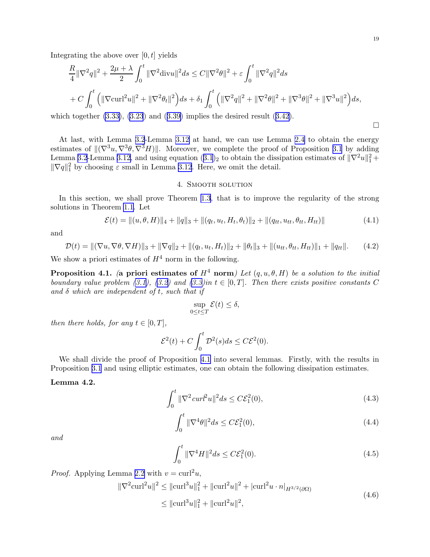$\Box$ 

<span id="page-18-0"></span>Integrating the above over  $[0, t]$  yields

$$
\frac{R}{4} \|\nabla^2 q\|^2 + \frac{2\mu + \lambda}{2} \int_0^t \|\nabla^2 \text{div} u\|^2 ds \le C \|\nabla^2 \theta\|^2 + \varepsilon \int_0^t \|\nabla^2 q\|^2 ds
$$
  
+  $C \int_0^t \left( \|\nabla \text{curl}^2 u\|^2 + \|\nabla^2 \theta_t\|^2 \right) ds + \delta_1 \int_0^t \left( \|\nabla^2 q\|^2 + \|\nabla^2 \theta\|^2 + \|\nabla^3 \theta\|^2 + \|\nabla^3 u\|^2 \right) ds,$ 

whichtogether  $(3.33)$ ,  $(3.23)$  and  $(3.39)$  $(3.39)$  implies the desired result  $(3.42)$  $(3.42)$ .

At last, with Lemma [3.2](#page-6-0)-Lemma [3.12](#page-16-0) at hand, we can use Lemma [2.4](#page-5-0) to obtain the energy estimates of  $\|(\nabla^3 u, \nabla^3 \theta, \nabla^3 H)\|$ . Moreover, we complete the proof of Proposition [3.1](#page-6-0) by adding Lemma [3.2](#page-6-0)-Lemma [3.12,](#page-16-0) and using equation  $(3.1)_2$  $(3.1)_2$  $(3.1)_2$  to obtain the dissipation estimates of  $\|\nabla^2 u\|_1^2 +$  $\|\nabla q\|_1^2$  by choosing  $\varepsilon$  small in Lemma [3.12](#page-16-0). Here, we omit the detail.

### 4. Smooth solution

In this section, we shall prove Theorem [1.3](#page-3-0), that is to improve the regularity of the strong solutions in Theorem [1.1](#page-2-0). Let

$$
\mathcal{E}(t) = ||(u, \theta, H)||_4 + ||q||_3 + ||(q_t, u_t, H_t, \theta_t)||_2 + ||(q_{tt}, u_{tt}, \theta_{tt}, H_{tt})||
$$
\n(4.1)

and

$$
\mathcal{D}(t) = \|(\nabla u, \nabla \theta, \nabla H)\|_{3} + \|\nabla q\|_{2} + \|(q_t, u_t, H_t)\|_{2} + \|\theta_t\|_{3} + \|(u_{tt}, \theta_{tt}, H_{tt})\|_{1} + \|q_{tt}\|.
$$
 (4.2)

We show a priori estimates of  $H^4$  norm in the following.

**Proposition 4.1.** (a priori estimates of  $H^4$  norm) Let  $(q, u, \theta, H)$  be a solution to the initial boundary value problem [\(3.1\)](#page-6-0), [\(3.2\)](#page-6-0) and [\(3.3\)](#page-6-0)in  $t \in [0, T]$ . Then there exists positive constants C and  $\delta$  which are independent of t, such that if

$$
\sup_{0\leq t\leq T}\mathcal{E}(t)\leq \delta,
$$

then there holds, for any  $t \in [0, T]$ ,

$$
\mathcal{E}^2(t) + C \int_0^t \mathcal{D}^2(s)ds \leq C \mathcal{E}^2(0).
$$

We shall divide the proof of Proposition 4.1 into several lemmas. Firstly, with the results in Proposition [3.1](#page-6-0) and using elliptic estimates, one can obtain the following dissipation estimates.

#### Lemma 4.2.

$$
\int_0^t \|\nabla^2 \, \text{curl}^2 u\|^2 \, ds \le C \mathcal{E}_1^2(0),\tag{4.3}
$$

$$
\int_0^t \|\nabla^4 \theta\|^2 ds \le C \mathcal{E}_1^2(0),\tag{4.4}
$$

and

$$
\int_0^t \|\nabla^4 H\|^2 ds \le C \mathcal{E}_1^2(0). \tag{4.5}
$$

*Proof.* Applying Lemma [2.2](#page-4-0) with  $v = \text{curl}^2 u$ ,

$$
\|\nabla^2 \operatorname{curl}^2 u\|^2 \le \|\operatorname{curl}^3 u\|_1^2 + \|\operatorname{curl}^2 u\|^2 + |\operatorname{curl}^2 u \cdot n|_{H^{3/2}(\partial \Omega)}
$$
  

$$
\le \|\operatorname{curl}^3 u\|_1^2 + \|\operatorname{curl}^2 u\|^2,
$$
 (4.6)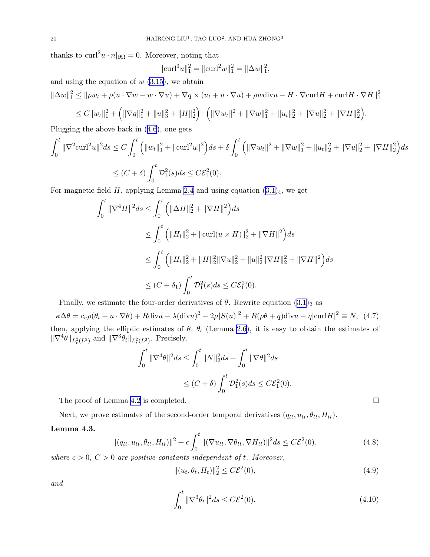<span id="page-19-0"></span>thanks to  $\text{curl}^2 u \cdot n|_{\partial\Omega} = 0$ . Moreover, noting that

$$
\|\mathrm{curl}^3 u\|_1^2 = \|\mathrm{curl}^2 w\|_1^2 = \|\Delta w\|_1^2,
$$

and using the equation of  $w$  [\(3.15\)](#page-9-0), we obtain

$$
\|\Delta w\|_1^2 \le \|\rho w_t + \rho(u \cdot \nabla w - w \cdot \nabla u) + \nabla q \times (u_t + u \cdot \nabla u) + \rho w \text{div}u - H \cdot \nabla \text{curl}H + \text{curl}H \cdot \nabla H\|_1^2
$$

$$
\leq C||w_t||_1^2 + \left(||\nabla q||_1^2 + ||u||_3^2 + ||H||_2^2\right) \cdot \left(||\nabla w_t||^2 + ||\nabla w||_1^2 + ||u_t||_2^2 + ||\nabla u||_2^2 + ||\nabla H||_2^2\right).
$$

Plugging the above back in([4.6](#page-18-0)), one gets

$$
\int_0^t \|\nabla^2 \operatorname{curl}^2 u\|^2 ds \le C \int_0^t \left( \|w_t\|_1^2 + \|\operatorname{curl}^2 u\|^2 \right) ds + \delta \int_0^t \left( \|\nabla w_t\|^2 + \|\nabla w\|_1^2 + \|u_t\|_2^2 + \|\nabla u\|_2^2 + \|\nabla H\|_2^2 \right) ds
$$
  

$$
\le (C + \delta) \int_0^t \mathcal{D}_1^2(s) ds \le C \mathcal{E}_1^2(0).
$$

For magnetic field H, applying Lemma [2.4](#page-5-0) and using equation  $(3.1)_4$ , we get

$$
\int_0^t \|\nabla^4 H\|^2 ds \le \int_0^t \left( \|\Delta H\|_2^2 + \|\nabla H\|^2 \right) ds
$$
  
\n
$$
\le \int_0^t \left( \|H_t\|_2^2 + \|\mathrm{curl}(u \times H)\|_2^2 + \|\nabla H\|^2 \right) ds
$$
  
\n
$$
\le \int_0^t \left( \|H_t\|_2^2 + \|H\|_2^2 \|\nabla u\|_2^2 + \|u\|_2^2 \|\nabla H\|_2^2 + \|\nabla H\|^2 \right) ds
$$
  
\n
$$
\le (C + \delta_1) \int_0^t \mathcal{D}_1^2(s) ds \le C \mathcal{E}_1^2(0).
$$

Finally,we estimate the four-order derivatives of  $\theta$ . Rewrite equation  $(3.1)_2$  $(3.1)_2$  $(3.1)_2$  as

 $\kappa \Delta \theta = c_v \rho (\theta_t + u \cdot \nabla \theta) + R \text{div}u - \lambda (\text{div}u)^2 - 2\mu |S(u)|^2 + R(\rho \theta + q) \text{div}u - \eta |\text{curl}H|^2 \equiv N, (4.7)$ then, applying the elliptic estimates of  $\theta$ ,  $\theta_t$  (Lemma [2.6](#page-5-0)), it is easy to obtain the estimates of  $\|\nabla^4\theta\|_{L_t^2(L^2)}$  and  $\|\nabla^3\theta_t\|_{L_t^2(L^2)}$ . Precisely,

$$
\int_0^t \|\nabla^4 \theta\|^2 ds \le \int_0^t \|N\|_2^2 ds + \int_0^t \|\nabla \theta\|^2 ds
$$
  

$$
\le (C+\delta) \int_0^t \mathcal{D}_1^2(s) ds \le C \mathcal{E}_1^2(0).
$$

The proof of Lemma [4.2](#page-18-0) is completed.  $\Box$ 

Next, we prove estimates of the second-order temporal derivatives  $(q_{tt}, u_{tt}, \theta_{tt}, H_{tt})$ .

## Lemma 4.3.

$$
\|(q_{tt}, u_{tt}, \theta_{tt}, H_{tt})\|^2 + c \int_0^t \|(\nabla u_{tt}, \nabla \theta_{tt}, \nabla H_{tt})\|^2 ds \le C \mathcal{E}^2(0). \tag{4.8}
$$

where  $c > 0$ ,  $C > 0$  are positive constants independent of t. Moreover,

 $\mathbf{I}$ 

$$
|(u_t, \theta_t, H_t)||_2^2 \le C\mathcal{E}^2(0),
$$
\n(4.9)

and

$$
\int_0^t \|\nabla^3 \theta_t\|^2 ds \le C\mathcal{E}^2(0). \tag{4.10}
$$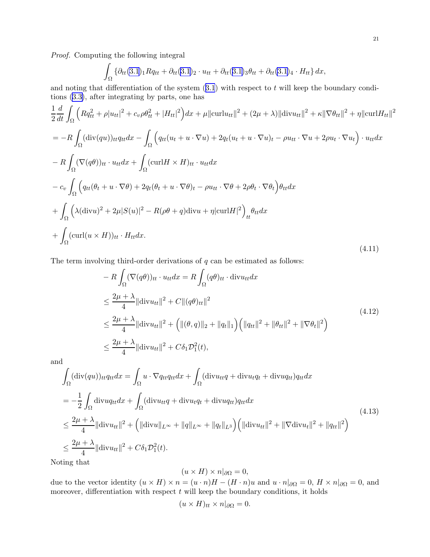<span id="page-20-0"></span>Proof. Computing the following integral

$$
\int_{\Omega} \left\{ \partial_{tt} (3.1)_1 R q_{tt} + \partial_{tt} (3.1)_2 \cdot u_{tt} + \partial_{tt} (3.1)_3 \theta_{tt} + \partial_{tt} (3.1)_4 \cdot H_{tt} \right\} dx,
$$

andnoting that differentiation of the system  $(3.1)$  $(3.1)$  $(3.1)$  with respect to t will keep the boundary conditions([3.3\)](#page-6-0), after integrating by parts, one has

$$
\frac{1}{2}\frac{d}{dt}\int_{\Omega}\left(Rq_{tt}^{2}+\rho|u_{tt}|^{2}+c_{v}\rho\theta_{tt}^{2}+|H_{tt}|^{2}\right)dx+\mu\|\mathrm{curl}u_{tt}\|^{2}+(2\mu+\lambda)\|\mathrm{div}u_{tt}\|^{2}+\kappa\|\nabla\theta_{tt}\|^{2}+\eta\|\mathrm{curl}H_{tt}\|^{2}
$$
\n
$$
=-R\int_{\Omega}(\mathrm{div}(qu))_{tt}q_{tt}dx-\int_{\Omega}\left(q_{tt}(u_{t}+u\cdot\nabla u)+2q_{t}(u_{t}+u\cdot\nabla u)_{t}-\rho u_{tt}\cdot\nabla u+2\rho u_{t}\cdot\nabla u_{t}\right)\cdot u_{tt}dx
$$
\n
$$
-R\int_{\Omega}(\nabla(q\theta))_{tt}\cdot u_{tt}dx+\int_{\Omega}(\mathrm{curl}H\times H)_{tt}\cdot u_{tt}dx
$$
\n
$$
-c_{v}\int_{\Omega}\left(q_{tt}(\theta_{t}+u\cdot\nabla\theta)+2q_{t}(\theta_{t}+u\cdot\nabla\theta)_{t}-\rho u_{tt}\cdot\nabla\theta+2\rho\theta_{t}\cdot\nabla\theta_{t}\right)\theta_{tt}dx
$$
\n
$$
+\int_{\Omega}\left(\lambda(\mathrm{div}u)^{2}+2\mu|S(u)|^{2}-R(\rho\theta+q)\mathrm{div}u+\eta|\mathrm{curl}H|^{2}\right)_{tt}\theta_{tt}dx
$$
\n
$$
+\int_{\Omega}(\mathrm{curl}(u\times H))_{tt}\cdot H_{tt}dx.
$$
\n(4.11)

The term involving third-order derivations of  $q$  can be estimated as follows:

$$
-R \int_{\Omega} (\nabla(q\theta))_{tt} \cdot u_{tt} dx = R \int_{\Omega} (q\theta)_{tt} \cdot \text{div} u_{tt} dx
$$
  
\n
$$
\leq \frac{2\mu + \lambda}{4} ||\text{div} u_{tt}||^2 + C ||(q\theta)_{tt}||^2
$$
  
\n
$$
\leq \frac{2\mu + \lambda}{4} ||\text{div} u_{tt}||^2 + (||(\theta, q)||_2 + ||q_t||_1) (||q_{tt}||^2 + ||\theta_{tt}||^2 + ||\nabla \theta_t||^2)
$$
  
\n
$$
\leq \frac{2\mu + \lambda}{4} ||\text{div} u_{tt}||^2 + C\delta_1 \mathcal{D}_1^2(t),
$$
\n(4.12)

and

$$
\int_{\Omega} (\text{div}(qu))_{tt} q_{tt} dx = \int_{\Omega} u \cdot \nabla q_{tt} q_{tt} dx + \int_{\Omega} (\text{div} u_{tt} q + \text{div} u_{tt} q_{tt} + \text{div} u_{tt} q_{tt}) q_{tt} dx \n= -\frac{1}{2} \int_{\Omega} \text{div} u_{tt} dx + \int_{\Omega} (\text{div} u_{tt} q + \text{div} u_{tt} q_{tt} + \text{div} u_{tt} q_{tt}) q_{tt} dx \n\leq \frac{2\mu + \lambda}{4} ||\text{div} u_{tt} ||^2 + (||\text{div} u||_{L^{\infty}} + ||q||_{L^{\infty}} + ||q_t||_{L^3}) (||\text{div} u_{tt} ||^2 + ||\nabla \text{div} u_t ||^2 + ||q_{tt} ||^2) \n\leq \frac{2\mu + \lambda}{4} ||\text{div} u_{tt} ||^2 + C \delta_1 \mathcal{D}_1^2(t).
$$
\n(4.13)

Noting that

$$
(u \times H) \times n|_{\partial\Omega} = 0,
$$

due to the vector identity  $(u \times H) \times n = (u \cdot n)H - (H \cdot n)u$  and  $u \cdot n|_{\partial\Omega} = 0$ ,  $H \times n|_{\partial\Omega} = 0$ , and moreover, differentiation with respect  $t$  will keep the boundary conditions, it holds

$$
(u \times H)_{tt} \times n|_{\partial\Omega} = 0.
$$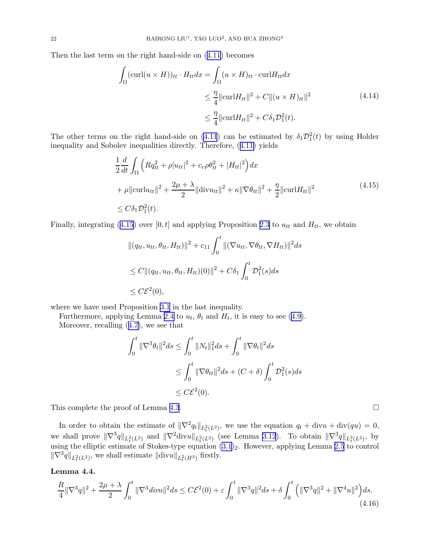<span id="page-21-0"></span>Then the last term on the right hand-side on([4.11](#page-20-0)) becomes

$$
\int_{\Omega} (\text{curl}(u \times H))_{tt} \cdot H_{tt} dx = \int_{\Omega} (u \times H)_{tt} \cdot \text{curl} H_{tt} dx
$$
\n
$$
\leq \frac{\eta}{4} ||\text{curl} H_{tt}||^2 + C ||(u \times H)_{tt}||^2
$$
\n
$$
\leq \frac{\eta}{4} ||\text{curl} H_{tt}||^2 + C \delta_1 \mathcal{D}_1^2(t).
$$
\n(4.14)

The other terms on the right hand-side on [\(4.11](#page-20-0)) can be estimated by  $\delta_1 \mathcal{D}_1^2(t)$  by using Holder inequality and Sobolev inequalities directly. Therefore, ([4.11\)](#page-20-0) yields

$$
\frac{1}{2} \frac{d}{dt} \int_{\Omega} \left( R q_{tt}^2 + \rho |u_{tt}|^2 + c_v \rho \theta_{tt}^2 + |H_{tt}|^2 \right) dx \n+ \mu \| \operatorname{curl} u_{tt} \|^2 + \frac{2\mu + \lambda}{2} \| \operatorname{div} u_{tt} \|^2 + \kappa \| \nabla \theta_{tt} \|^2 + \frac{\eta}{2} \| \operatorname{curl} H_{tt} \|^2 \n\leq C \delta_1 \mathcal{D}_1^2(t).
$$
\n(4.15)

Finally, integrating (4.15) over [0, t] and applying Proposition [2.3](#page-4-0) to  $u_{tt}$  and  $H_{tt}$ , we obtain

$$
||(q_{tt}, u_{tt}, \theta_{tt}, H_{tt})||^2 + c_{11} \int_0^t ||(\nabla u_{tt}, \nabla \theta_{tt}, \nabla H_{tt})||^2 ds
$$
  
\n
$$
\leq C||(q_{tt}, u_{tt}, \theta_{tt}, H_{tt})(0)||^2 + C\delta_1 \int_0^t \mathcal{D}_1^2(s) ds
$$
  
\n
$$
\leq C\mathcal{E}^2(0),
$$

where we have used Proposition [3.1](#page-6-0) in the last inequality.

Furthermore, applying Lemma [2.4](#page-5-0)to  $u_t$ ,  $\theta_t$  and  $H_t$ , it is easy to see ([4.9\)](#page-19-0).

Moreover, recalling([4.7\)](#page-19-0), we see that

$$
\int_0^t \|\nabla^3 \theta_t\|^2 ds \le \int_0^t \|N_t\|_1^2 ds + \int_0^t \|\nabla \theta_t\|^2 ds
$$
  
\n
$$
\le \int_0^t \|\nabla \theta_{tt}\|^2 ds + (C + \delta) \int_0^t \mathcal{D}_1^2(s) ds
$$
  
\n
$$
\le C\mathcal{E}^2(0).
$$

This complete the proof of Lemma [4.3](#page-19-0).

In order to obtain the estimate of  $\|\nabla^2 q_t\|_{L^2_t(L^2)}$ , we use the equation  $q_t + \text{div}u + \text{div}(qu) = 0$ , we shall prove  $\|\nabla^3 q\|_{L^2_t(L^2)}$  and  $\|\nabla^2 \text{div} u\|_{L^2_t(L^2)}$  (see Lemma [3.12](#page-16-0)). To obtain  $\|\nabla^3 q\|_{L^2_t(L^2)}$ , by using the elliptic estimate of Stokes-type equation  $(3.1)_2$ . However, applying Lemma [2.5](#page-5-0) to control  $\|\nabla^3 q\|_{L^2_t(L^2)}$ , we shall estimate  $\|\text{div}u\|_{L^2_t(H^3)}$  firstly.

#### Lemma 4.4.

$$
\frac{R}{4} \|\nabla^3 q\|^2 + \frac{2\mu + \lambda}{2} \int_0^t \|\nabla^3 \, divu\|^2 ds \le C\mathcal{E}^2(0) + \varepsilon \int_0^t \|\nabla^3 q\|^2 ds + \delta \int_0^t \left( \|\nabla^3 q\|^2 + \|\nabla^4 u\|^2 \right) ds. \tag{4.16}
$$

$$
\qquad \qquad \Box
$$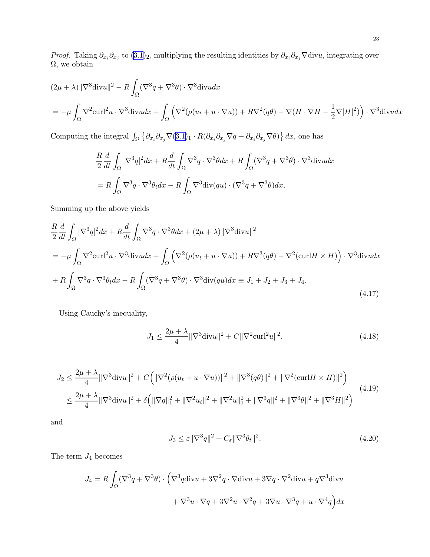<span id="page-22-0"></span>*Proof.* Taking  $\partial_{x_i}\partial_{x_j}$  to  $(3.1)_2$ , multiplying the resulting identities by  $\partial_{x_i}\partial_{x_j}\nabla$ divu, integrating over  $\Omega,$  we obtain

$$
(2\mu + \lambda) \|\nabla^3 \text{div} u\|^2 - R \int_{\Omega} (\nabla^3 q + \nabla^3 \theta) \cdot \nabla^3 \text{div} u dx
$$
  
= 
$$
-\mu \int_{\Omega} \nabla^2 \text{curl}^2 u \cdot \nabla^3 \text{div} u dx + \int_{\Omega} (\nabla^2 (\rho (u_t + u \cdot \nabla u)) + R \nabla^2 (q\theta) - \nabla (H \cdot \nabla H - \frac{1}{2} \nabla |H|^2)) \cdot \nabla^3 \text{div} u dx
$$

Computing the integral  $\int_{\Omega} \left\{ \partial_{x_i} \partial_{x_j} \nabla (3.1)_1 \cdot R(\partial_{x_i} \partial_{x_j} \nabla q + \partial_{x_i} \partial_{x_j} \nabla \theta) \right\} dx$  $\int_{\Omega} \left\{ \partial_{x_i} \partial_{x_j} \nabla (3.1)_1 \cdot R(\partial_{x_i} \partial_{x_j} \nabla q + \partial_{x_i} \partial_{x_j} \nabla \theta) \right\} dx$  $\int_{\Omega} \left\{ \partial_{x_i} \partial_{x_j} \nabla (3.1)_1 \cdot R(\partial_{x_i} \partial_{x_j} \nabla q + \partial_{x_i} \partial_{x_j} \nabla \theta) \right\} dx$ , one has

$$
\frac{R}{2}\frac{d}{dt}\int_{\Omega}|\nabla^{3}q|^{2}dx + R\frac{d}{dt}\int_{\Omega}\nabla^{3}q\cdot\nabla^{3}\theta dx + R\int_{\Omega}(\nabla^{3}q + \nabla^{3}\theta)\cdot\nabla^{3}\text{div}u dx
$$

$$
= R\int_{\Omega}\nabla^{3}q\cdot\nabla^{3}\theta_{t}dx - R\int_{\Omega}\nabla^{3}\text{div}(qu)\cdot(\nabla^{3}q + \nabla^{3}\theta)dx,
$$

Summing up the above yields

$$
\frac{R}{2} \frac{d}{dt} \int_{\Omega} |\nabla^3 q|^2 dx + R \frac{d}{dt} \int_{\Omega} \nabla^3 q \cdot \nabla^3 \theta dx + (2\mu + \lambda) ||\nabla^3 \text{div} u||^2
$$
\n
$$
= -\mu \int_{\Omega} \nabla^2 \text{curl}^2 u \cdot \nabla^3 \text{div} u dx + \int_{\Omega} \left( \nabla^2 (\rho (u_t + u \cdot \nabla u)) + R \nabla^3 (q\theta) - \nabla^2 (\text{curl} H \times H) \right) \cdot \nabla^3 \text{div} u dx
$$
\n
$$
+ R \int_{\Omega} \nabla^3 q \cdot \nabla^3 \theta_t dx - R \int_{\Omega} (\nabla^3 q + \nabla^3 \theta) \cdot \nabla^3 \text{div} (qu) dx \equiv J_1 + J_2 + J_3 + J_4.
$$
\n(4.17)

Using Cauchy's inequality,

$$
J_1 \le \frac{2\mu + \lambda}{4} \|\nabla^3 \text{div} u\|^2 + C\|\nabla^2 \text{curl}^2 u\|^2,\tag{4.18}
$$

$$
J_2 \le \frac{2\mu + \lambda}{4} \|\nabla^3 \text{div} u\|^2 + C \Big( \|\nabla^2 (\rho (u_t + u \cdot \nabla u))\|^2 + \|\nabla^3 (q\theta)\|^2 + \|\nabla^2 (\text{curl} H \times H)\|^2 \Big) \le \frac{2\mu + \lambda}{4} \|\nabla^3 \text{div} u\|^2 + \delta \Big( \|\nabla q\|_1^2 + \|\nabla^2 u_t\|^2 + \|\nabla^2 u\|_1^2 + \|\nabla^3 q\|^2 + \|\nabla^3 \theta\|^2 + \|\nabla^3 H\|^2 \Big)
$$
\n(4.19)

and

$$
J_3 \le \varepsilon ||\nabla^3 q||^2 + C_{\varepsilon} ||\nabla^3 \theta_t||^2. \tag{4.20}
$$

The term  ${\mathcal J}_4$  becomes

$$
J_4 = R \int_{\Omega} (\nabla^3 q + \nabla^3 \theta) \cdot (\nabla^3 q \operatorname{div} u + 3\nabla^2 q \cdot \nabla \operatorname{div} u + 3\nabla q \cdot \nabla^2 \operatorname{div} u + q \nabla^3 \operatorname{div} u + \nabla^3 u \cdot \nabla q + 3\nabla^2 u \cdot \nabla^2 q + 3\nabla u \cdot \nabla^3 q + u \cdot \nabla^4 q \Big) dx
$$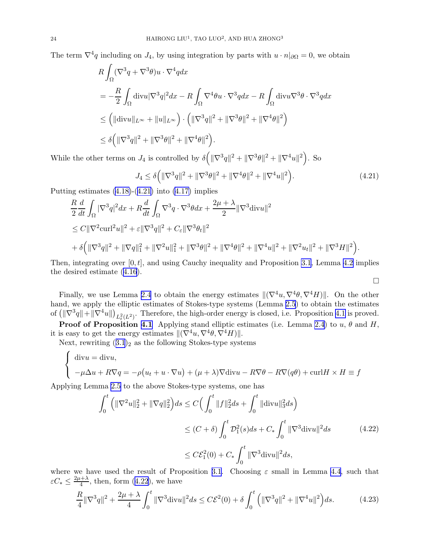<span id="page-23-0"></span>The term  $\nabla^4 q$  including on  $J_4$ , by using integration by parts with  $u \cdot n|_{\partial\Omega} = 0$ , we obtain

$$
R \int_{\Omega} (\nabla^3 q + \nabla^3 \theta) u \cdot \nabla^4 q dx
$$
  
=  $-\frac{R}{2} \int_{\Omega} \text{div} u |\nabla^3 q|^2 dx - R \int_{\Omega} \nabla^4 \theta u \cdot \nabla^3 q dx - R \int_{\Omega} \text{div} u \nabla^3 \theta \cdot \nabla^3 q dx$   
 $\leq (||\text{div} u||_{L^{\infty}} + ||u||_{L^{\infty}}) \cdot (||\nabla^3 q||^2 + ||\nabla^3 \theta||^2 + ||\nabla^4 \theta||^2)$   
 $\leq \delta (||\nabla^3 q||^2 + ||\nabla^3 \theta||^2 + ||\nabla^4 \theta||^2).$ 

While the other terms on  $J_4$  is controlled by  $\delta ( \| \nabla^3 q \|^2 + \| \nabla^3 \theta \|^2 + \| \nabla^4 u \|^2 ).$  So

$$
J_4 \le \delta \left( \|\nabla^3 q\|^2 + \|\nabla^3 \theta\|^2 + \|\nabla^4 \theta\|^2 + \|\nabla^4 u\|^2 \right). \tag{4.21}
$$

Putting estimates  $(4.18)-(4.21)$  into  $(4.17)$  implies

$$
\frac{R}{2}\frac{d}{dt}\int_{\Omega}|\nabla^{3}q|^{2}dx + R\frac{d}{dt}\int_{\Omega}\nabla^{3}q \cdot \nabla^{3}\theta dx + \frac{2\mu + \lambda}{2}\|\nabla^{3}\text{div}u\|^{2}
$$
\n
$$
\leq C\|\nabla^{2}\text{curl}^{2}u\|^{2} + \varepsilon\|\nabla^{3}q\|^{2} + C_{\varepsilon}\|\nabla^{3}\theta_{t}\|^{2}
$$
\n
$$
+ \delta\Big(\|\nabla^{3}q\|^{2} + \|\nabla q\|_{1}^{2} + \|\nabla^{2}u\|_{1}^{2} + \|\nabla^{3}\theta\|^{2} + \|\nabla^{4}\theta\|^{2} + \|\nabla^{4}u\|^{2} + \|\nabla^{2}u_{t}\|^{2} + \|\nabla^{3}H\|^{2}\Big).
$$

Then, integrating over  $[0, t]$ , and using Cauchy inequality and Proposition [3.1](#page-6-0), Lemma [4.2](#page-18-0) implies the desired estimate([4.16\)](#page-21-0).

 $\Box$ 

Finally, we use Lemma [2.4](#page-5-0) to obtain the energy estimates  $\|(\nabla^4 u, \nabla^4 \theta, \nabla^4 H)\|$ . On the other hand, we apply the elliptic estimates of Stokes-type systems (Lemma [2.5\)](#page-5-0) to obtain the estimates of  $(\|\nabla^3 q\| + \|\nabla^4 u\|)_{L^2_t(L^2)}$ . Therefore, the high-order energy is closed, i.e. Proposition [4.1](#page-18-0) is proved.

**Proof of Proposition [4.1](#page-18-0)** Applying stand elliptic estimates (i.e. Lemma [2.4](#page-5-0)) to u,  $\theta$  and H, it is easy to get the energy estimates  $\|(\nabla^4 u, \nabla^4 \theta, \nabla^4 H)\|$ .

Next, rewriting  $(3.1)<sub>2</sub>$  $(3.1)<sub>2</sub>$  $(3.1)<sub>2</sub>$  as the following Stokes-type systems

$$
\begin{cases} \text{div}u = \text{div}u, \\ -\mu \Delta u + R\nabla q = -\rho(u_t + u \cdot \nabla u) + (\mu + \lambda)\nabla \text{div}u - R\nabla \theta - R\nabla (q\theta) + \text{curl}H \times H \equiv f \end{cases}
$$

Applying Lemma [2.5](#page-5-0) to the above Stokes-type systems, one has

$$
\int_{0}^{t} \left( \|\nabla^{2}u\|_{2}^{2} + \|\nabla q\|_{2}^{2} \right) ds \le C \Big( \int_{0}^{t} \|f\|_{2}^{2} ds + \int_{0}^{t} \|\text{div} u\|_{3}^{2} ds \Big)
$$
  
\n
$$
\le (C + \delta) \int_{0}^{t} \mathcal{D}_{1}^{2}(s) ds + C_{*} \int_{0}^{t} \|\nabla^{3} \text{div} u\|^{2} ds \qquad (4.22)
$$
  
\n
$$
\le C \mathcal{E}_{1}^{2}(0) + C_{*} \int_{0}^{t} \|\nabla^{3} \text{div} u\|^{2} ds,
$$

where we have used the result of Proposition [3.1](#page-6-0). Choosing  $\varepsilon$  small in Lemma [4.4](#page-21-0), such that  $\varepsilon C_* \leq \frac{2\mu + \lambda}{4}$  $\frac{4+\lambda}{4}$ , then, form  $(4.22)$ , we have

$$
\frac{R}{4} \|\nabla^3 q\|^2 + \frac{2\mu + \lambda}{4} \int_0^t \|\nabla^3 \text{div} u\|^2 ds \le C\mathcal{E}^2(0) + \delta \int_0^t \left(\|\nabla^3 q\|^2 + \|\nabla^4 u\|^2\right) ds. \tag{4.23}
$$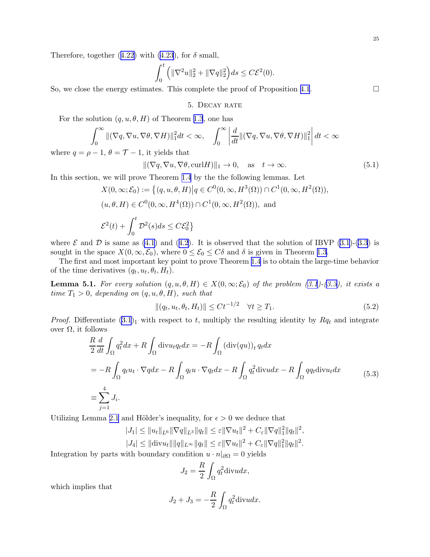<span id="page-24-0"></span>Therefore,together ([4.22\)](#page-23-0) with [\(4.23](#page-23-0)), for  $\delta$  small,

$$
\int_0^t \left( \|\nabla^2 u\|_2^2 + \|\nabla q\|_2^2 \right) ds \le C\mathcal{E}^2(0).
$$

So, we close the energy estimates. This complete the proof of Proposition [4.1](#page-18-0).  $\Box$ 

5. DECAY RATE

For the solution  $(q, u, \theta, H)$  of Theorem [1.3](#page-3-0), one has

$$
\int_0^\infty \|(\nabla q, \nabla u, \nabla \theta, \nabla H)\|_1^2 dt < \infty, \quad \int_0^\infty \left| \frac{d}{dt} \|(\nabla q, \nabla u, \nabla \theta, \nabla H)\|_1^2 \right| dt < \infty
$$

where  $q = \rho - 1$ ,  $\theta = \mathcal{T} - 1$ , it yields that

$$
\|(\nabla q, \nabla u, \nabla \theta, \operatorname{curl} H)\|_1 \to 0, \quad \text{as} \quad t \to \infty. \tag{5.1}
$$

In this section, we will prove Theorem [1.4](#page-3-0) by the the following lemmas. Let

$$
X(0,\infty;\mathcal{E}_0) := \left\{ (q, u, \theta, H) \middle| q \in C^0(0,\infty, H^3(\Omega)) \cap C^1(0,\infty, H^2(\Omega)), \right\}
$$
  

$$
(u, \theta, H) \in C^0(0,\infty, H^4(\Omega)) \cap C^1(0,\infty, H^2(\Omega)), \text{ and}
$$
  

$$
\mathcal{E}^2(t) + \int_0^t \mathcal{D}^2(s)ds \leq C\mathcal{E}_0^2 \right\}
$$

where  $\mathcal E$  and  $\mathcal D$  is same as [\(4](#page-18-0).1) and (4.[2](#page-18-0)). It is observed that the solution of IBVP [\(3.1](#page-6-0))-[\(3.3\)](#page-6-0) is sought in the space  $X(0,\infty,\mathcal{E}_0)$ , where  $0 \leq \mathcal{E}_0 \leq C\delta$  and  $\delta$  is given in Theorem [1.3](#page-3-0).

The first and most important key point to prove Theorem [1.4](#page-3-0) is to obtain the large-time behavior of the time derivatives  $(q_t, u_t, \theta_t, H_t)$ .

**Lemma 5.1.** For every solution  $(q, u, \theta, H) \in X(0, \infty; \mathcal{E}_0)$  of the problem [\(3.1](#page-6-0))-[\(3.3\)](#page-6-0), it exists a time  $T_1 > 0$ , depending on  $(q, u, \theta, H)$ , such that

$$
||(q_t, u_t, \theta_t, H_t)|| \le Ct^{-1/2} \quad \forall t \ge T_1.
$$
\n(5.2)

*Proof.* Differentiate  $(3.1)<sub>1</sub>$  with respect to t, multiply the resulting identity by  $Rq_t$  and integrate over  $Ω$ , it follows

$$
\frac{R}{2} \frac{d}{dt} \int_{\Omega} q_t^2 dx + R \int_{\Omega} \text{div} u_t q_t dx = -R \int_{\Omega} (\text{div}(qu))_t q_t dx
$$
  
=  $-R \int_{\Omega} q_t u_t \cdot \nabla q dx - R \int_{\Omega} q_t u \cdot \nabla q_t dx - R \int_{\Omega} q_t^2 \text{div} u dx - R \int_{\Omega} q q_t \text{div} u_t dx$  (5.3)  

$$
\equiv \sum_{j=1}^4 J_i.
$$

Utilizing Lemma [2.1](#page-4-0) and Hölder's inequality, for  $\epsilon > 0$  we deduce that

$$
|J_1| \leq ||u_t||_{L^6} ||\nabla q||_{L^3} ||q_t|| \leq \varepsilon ||\nabla u_t||^2 + C_{\varepsilon} ||\nabla q||_1^2 ||q_t||^2,
$$
  

$$
|J_4| \leq ||\text{div} u_t|| ||q||_{L^\infty} ||q_t|| \leq \varepsilon ||\nabla u_t||^2 + C_{\varepsilon} ||\nabla q||_1^2 ||q_t||^2.
$$

Integration by parts with boundary condition  $u \cdot n|_{\partial\Omega} = 0$  yields

$$
J_2 = \frac{R}{2} \int_{\Omega} q_t^2 \text{div} u dx,
$$

which implies that

$$
J_2 + J_3 = -\frac{R}{2} \int_{\Omega} q_t^2 \text{div} u dx.
$$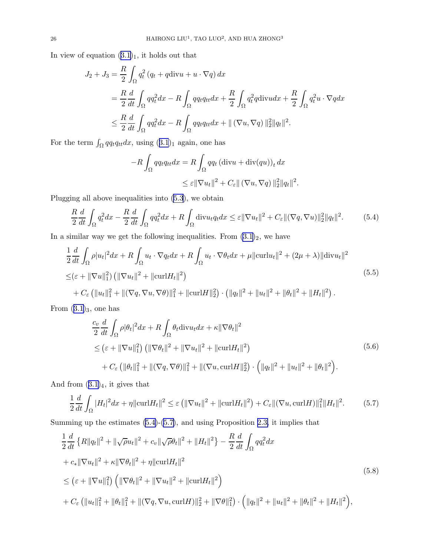<span id="page-25-0"></span>In view of equation  $(3.1)_1$  $(3.1)_1$  $(3.1)_1$ , it holds out that

$$
J_2 + J_3 = \frac{R}{2} \int_{\Omega} q_t^2 (q_t + q \operatorname{div} u + u \cdot \nabla q) dx
$$
  
=  $\frac{R}{2} \frac{d}{dt} \int_{\Omega} q q_t^2 dx - R \int_{\Omega} q q_t q_{tt} dx + \frac{R}{2} \int_{\Omega} q_t^2 q \operatorname{div} u dx + \frac{R}{2} \int_{\Omega} q_t^2 u \cdot \nabla q dx$   
 $\leq \frac{R}{2} \frac{d}{dt} \int_{\Omega} q q_t^2 dx - R \int_{\Omega} q q_t q_{tt} dx + ||(\nabla u, \nabla q)||_2^2 ||q_t||^2.$ 

For the term  $\int_{\Omega} qq_tq_{tt}dx$ , using  $(3.1)_1$  $(3.1)_1$  $(3.1)_1$  again, one has

$$
-R\int_{\Omega}qq_tq_{tt}dx = R\int_{\Omega}qq_t(\text{div}u + \text{div}(qu))_t dx
$$
  

$$
\leq \varepsilon ||\nabla u_t||^2 + C_{\varepsilon} ||(\nabla u, \nabla q) ||_2^2 ||q_t||^2.
$$

Plugging all above inequalities into [\(5.3](#page-24-0)), we obtain

$$
\frac{R}{2}\frac{d}{dt}\int_{\Omega}q_t^2dx - \frac{R}{2}\frac{d}{dt}\int_{\Omega}qq_t^2dx + R\int_{\Omega}\text{div}u_tq_tdx \leq \varepsilon ||\nabla u_t||^2 + C_{\varepsilon} ||(\nabla q, \nabla u)||_2^2||q_t||^2. \tag{5.4}
$$

In a similar way we get the following inequalities. From  $(3.1)_2$ , we have

$$
\frac{1}{2} \frac{d}{dt} \int_{\Omega} \rho |u_t|^2 dx + R \int_{\Omega} u_t \cdot \nabla q_t dx + R \int_{\Omega} u_t \cdot \nabla \theta_t dx + \mu ||\text{curl} u_t||^2 + (2\mu + \lambda) ||\text{div} u_t||^2
$$
\n
$$
\leq (\varepsilon + ||\nabla u||_1^2) \left( ||\nabla u_t||^2 + ||\text{curl} H_t||^2 \right)
$$
\n
$$
+ C_{\varepsilon} \left( ||u_t||_1^2 + ||(\nabla q, \nabla u, \nabla \theta) ||_1^2 + ||\text{curl} H||_2^2 \right) \cdot \left( ||q_t||^2 + ||u_t||^2 + ||\theta_t||^2 + ||H_t||^2 \right).
$$
\n(5.5)

From  $(3.1)_3$  $(3.1)_3$  $(3.1)_3$ , one has

$$
\frac{c_v}{2} \frac{d}{dt} \int_{\Omega} \rho |\theta_t|^2 dx + R \int_{\Omega} \theta_t \text{div} u_t dx + \kappa ||\nabla \theta_t||^2
$$
\n
$$
\leq (\varepsilon + ||\nabla u||_1^2) \left( ||\nabla \theta_t||^2 + ||\nabla u_t||^2 + ||\text{curl} H_t||^2 \right)
$$
\n
$$
+ C_{\varepsilon} \left( ||\theta_t||_1^2 + ||(\nabla q, \nabla \theta) ||_1^2 + ||(\nabla u, \text{curl} H||_2^2 \right) \cdot \left( ||q_t||^2 + ||u_t||^2 + ||\theta_t||^2 \right).
$$
\n(5.6)

And from  $(3.1)<sub>4</sub>$  $(3.1)<sub>4</sub>$  $(3.1)<sub>4</sub>$ , it gives that

$$
\frac{1}{2}\frac{d}{dt}\int_{\Omega}|H_t|^2dx + \eta\|\mathrm{curl}H_t\|^2 \leq \varepsilon\left(\|\nabla u_t\|^2 + \|\mathrm{curl}H_t\|^2\right) + C_{\varepsilon}\|(\nabla u, \mathrm{curl}H)\|^2_1\|H_t\|^2. \tag{5.7}
$$

Summing up the estimates (5.4)-(5.7), and using Proposition [2.3,](#page-4-0) it implies that

$$
\frac{1}{2}\frac{d}{dt}\left\{R\|q_t\|^2 + \|\sqrt{\rho}u_t\|^2 + c_v\|\sqrt{\rho}\theta_t\|^2 + \|H_t\|^2\right\} - \frac{R}{2}\frac{d}{dt}\int_{\Omega}qq_t^2dx
$$
\n
$$
+ c_*\|\nabla u_t\|^2 + \kappa\|\nabla\theta_t\|^2 + \eta\|\operatorname{curl}H_t\|^2
$$
\n
$$
\leq (\varepsilon + \|\nabla u\|_1^2) \left(\|\nabla\theta_t\|^2 + \|\nabla u_t\|^2 + \|\operatorname{curl}H_t\|^2\right)
$$
\n
$$
+ C_{\varepsilon}\left(\|u_t\|_1^2 + \|\theta_t\|_1^2 + \|(\nabla q, \nabla u, \operatorname{curl}H)\|_2^2 + \|\nabla\theta\|_1^2\right) \cdot \left(\|q_t\|^2 + \|u_t\|^2 + \|\theta_t\|^2 + \|H_t\|^2\right),
$$
\n(5.8)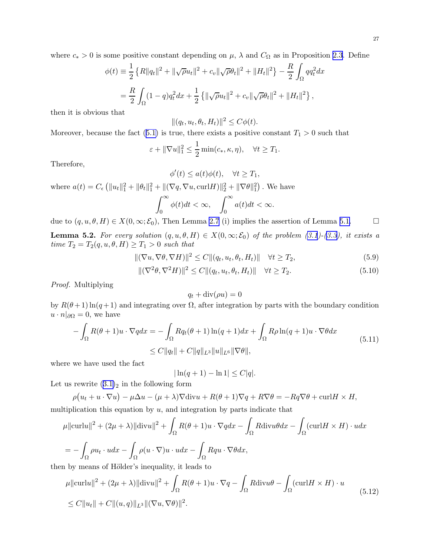<span id="page-26-0"></span>where  $c_* > 0$  is some positive constant depending on  $\mu$ ,  $\lambda$  and  $C_{\Omega}$  as in Proposition [2.3](#page-4-0). Define

$$
\phi(t) \equiv \frac{1}{2} \left\{ R \|q_t\|^2 + \|\sqrt{\rho} u_t\|^2 + c_v \|\sqrt{\rho} \theta_t\|^2 + \|H_t\|^2 \right\} - \frac{R}{2} \int_{\Omega} q q_t^2 dx
$$
  
= 
$$
\frac{R}{2} \int_{\Omega} (1 - q) q_t^2 dx + \frac{1}{2} \left\{ \|\sqrt{\rho} u_t\|^2 + c_v \|\sqrt{\rho} \theta_t\|^2 + \|H_t\|^2 \right\},
$$

then it is obvious that

$$
||(q_t, u_t, \theta_t, H_t)||^2 \le C\phi(t).
$$

Moreover,because the fact ([5.1\)](#page-24-0) is true, there exists a positive constant  $T_1 > 0$  such that

$$
\varepsilon + \|\nabla u\|_1^2 \le \frac{1}{2} \min(c_*, \kappa, \eta), \quad \forall t \ge T_1.
$$

Therefore,

$$
\phi'(t) \le a(t)\phi(t), \quad \forall t \ge T_1,
$$

where  $a(t) = C_{\epsilon} (||u_t||_1^2 + ||\theta_t||_1^2 + ||(\nabla q, \nabla u, \text{curl} H)||_2^2 + ||\nabla \theta||_1^2)$ . We have

$$
\int_0^\infty \phi(t)dt < \infty, \quad \int_0^\infty a(t)dt < \infty.
$$

due to  $(q, u, \theta, H) \in X(0, \infty; \mathcal{E}_0)$ , Then Lemma [2.7](#page-5-0) (i) implies the assertion of Lemma [5.1.](#page-24-0)

**Lemma 5.2.** For every solution  $(q, u, \theta, H) \in X(0, \infty; \mathcal{E}_0)$  of the problem [\(3.1](#page-6-0))-[\(3.3\)](#page-6-0), it exists a time  $T_2 = T_2(q, u, \theta, H) \geq T_1 > 0$  such that

$$
\|(\nabla u, \nabla \theta, \nabla H)\|^2 \le C \|(q_t, u_t, \theta_t, H_t)\| \quad \forall t \ge T_2,
$$
\n(5.9)

$$
\|(\nabla^2 \theta, \nabla^2 H)\|^2 \le C \|(q_t, u_t, \theta_t, H_t)\| \quad \forall t \ge T_2. \tag{5.10}
$$

Proof. Multiplying

$$
q_t + \operatorname{div}(\rho u) = 0
$$

by  $R(\theta+1)\ln(q+1)$  and integrating over  $\Omega$ , after integration by parts with the boundary condition  $u \cdot n|_{\partial\Omega} = 0$ , we have

$$
-\int_{\Omega} R(\theta + 1)u \cdot \nabla q dx = -\int_{\Omega} Rq_t(\theta + 1)\ln(q + 1)dx + \int_{\Omega} R\rho \ln(q + 1)u \cdot \nabla \theta dx
$$
  
\n
$$
\leq C \|q_t\| + C \|q\|_{L^3} \|u\|_{L^6} \|\nabla \theta\|,
$$
\n(5.11)

where we have used the fact

$$
|\ln(q+1) - \ln 1| \le C|q|.
$$

Let us rewrite  $(3.1)<sub>2</sub>$  $(3.1)<sub>2</sub>$  $(3.1)<sub>2</sub>$  in the following form

$$
\rho(u_t + u \cdot \nabla u) - \mu \Delta u - (\mu + \lambda) \nabla \text{div} u + R(\theta + 1) \nabla q + R \nabla \theta = -Rq \nabla \theta + \text{curl} H \times H,
$$

multiplication this equation by  $u$ , and integration by parts indicate that

$$
\mu \|\mathrm{curl}u\|^2 + (2\mu + \lambda) \|\mathrm{div}u\|^2 + \int_{\Omega} R(\theta + 1)u \cdot \nabla q dx - \int_{\Omega} R \mathrm{div}u \theta dx - \int_{\Omega} (\mathrm{curl}H \times H) \cdot u dx
$$

$$
= -\int_{\Omega} \rho u_t \cdot u dx - \int_{\Omega} \rho (u \cdot \nabla)u \cdot u dx - \int_{\Omega} Rqu \cdot \nabla \theta dx,
$$

then by means of Hölder's inequality, it leads to

$$
\mu \|\mathrm{curl}u\|^2 + (2\mu + \lambda) \|\mathrm{div}u\|^2 + \int_{\Omega} R(\theta + 1)u \cdot \nabla q - \int_{\Omega} R \mathrm{div}u \theta - \int_{\Omega} (\mathrm{curl}H \times H) \cdot u
$$
  
\n
$$
\leq C \|u_t\| + C \|(u, q)\|_{L^3} \|(\nabla u, \nabla \theta)\|^2.
$$
\n(5.12)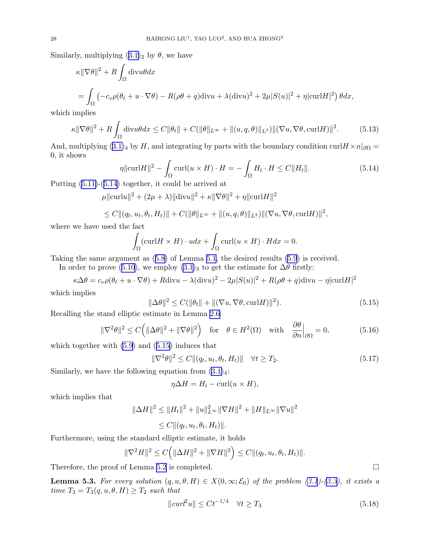<span id="page-27-0"></span>Similarly, multiplying  $(3.1)_3$  $(3.1)_3$  $(3.1)_3$  by  $\theta$ , we have

$$
\kappa \|\nabla \theta\|^2 + R \int_{\Omega} \text{div}u \theta dx
$$
  
= 
$$
\int_{\Omega} \left( -c_v \rho (\theta_t + u \cdot \nabla \theta) - R(\rho \theta + q) \text{div}u + \lambda (\text{div}u)^2 + 2\mu |S(u)|^2 + \eta |\text{curl}H|^2 \right) \theta dx,
$$

which implies

$$
\kappa \|\nabla \theta\|^2 + R \int_{\Omega} \text{div}u \theta dx \le C \|\theta_t\| + C (\|\theta\|_{L^{\infty}} + \|(u, q, \theta)\|_{L^3}) \|(\nabla u, \nabla \theta, \text{curl}H)\|^2. \tag{5.13}
$$

And, multiplying  $(3.1)_4$  $(3.1)_4$  $(3.1)_4$  by H, and integrating by parts with the boundary condition curlH  $\times n|_{\partial\Omega} =$ 0, it shows

$$
\eta \|\mathrm{curl} H\|^2 - \int_{\Omega} \mathrm{curl}(u \times H) \cdot H = -\int_{\Omega} H_t \cdot H \le C \|H_t\|.
$$
\n(5.14)

Putting [\(5.11\)](#page-26-0)-(5.14) together, it could be arrived at

$$
\mu ||\text{curl}u||^{2} + (2\mu + \lambda)||\text{div}u||^{2} + \kappa ||\nabla \theta||^{2} + \eta ||\text{curl}H||^{2}
$$

$$
\leq C \| (q_t, u_t, \theta_t, H_t) \| + C ( \| \theta \|_{L^{\infty}} + \| (u, q, \theta) \|_{L^3}) \| (\nabla u, \nabla \theta, \text{curl} H) \|^2,
$$

where we have used the fact

$$
\int_{\Omega} (\text{curl} H \times H) \cdot u dx + \int_{\Omega} \text{curl}(u \times H) \cdot H dx = 0.
$$

Taking the same argument as([5.8\)](#page-25-0) of Lemma [5.1,](#page-24-0) the desired results [\(5.9](#page-26-0)) is received.

In order to prove [\(5.10](#page-26-0)), we employ  $(3.1)$ <sub>3</sub> to get the estimate for  $\Delta\theta$  firstly:

$$
\kappa \Delta \theta = c_v \rho (\theta_t + u \cdot \nabla \theta) + R \text{div}u - \lambda (\text{div}u)^2 - 2\mu |S(u)|^2 + R(\rho \theta + q) \text{div}u - \eta |\text{curl}H|^2
$$

which implies

$$
\|\Delta\theta\|^2 \le C(\|\theta_t\| + \|(\nabla u, \nabla \theta, \text{curl} H)\|^2). \tag{5.15}
$$

Recalling the stand elliptic estimate in Lemma [2.6:](#page-5-0)

$$
\|\nabla^2 \theta\|^2 \le C\Big(\|\Delta \theta\|^2 + \|\nabla \theta\|^2\Big) \quad \text{for} \quad \theta \in H^2(\Omega) \quad \text{with} \quad \frac{\partial \theta}{\partial n}\Big|_{\partial \Omega} = 0,\tag{5.16}
$$

which together with [\(5.9](#page-26-0)) and (5.15) induces that

$$
\|\nabla^2 \theta\|^2 \le C \|(q_t, u_t, \theta_t, H_t)\| \quad \forall t \ge T_2. \tag{5.17}
$$

Similarly, we have the following equation from  $(3.1)_4$ :

$$
\eta \Delta H = H_t - \text{curl}(u \times H),
$$

which implies that

$$
\|\Delta H\|^2 \le \|H_t\|^2 + \|u\|_{L^\infty}^2 \|\nabla H\|^2 + \|H\|_{L^\infty} \|\nabla u\|^2
$$
  

$$
\le C \|(q_t, u_t, \theta_t, H_t)\|.
$$

Furthermore, using the standard elliptic estimate, it holds

$$
\|\nabla^2 H\|^2 \le C\Big(\|\Delta H\|^2 + \|\nabla H\|^2\Big) \le C\|(q_t, u_t, \theta_t, H_t)\|.
$$

Therefore, the proof of Lemma [5.2](#page-26-0) is completed.

**Lemma 5.3.** For every solution  $(q, u, \theta, H) \in X(0, \infty; \mathcal{E}_0)$  of the problem [\(3.1](#page-6-0))-[\(3.3\)](#page-6-0), it exists a time  $T_3 = T_3(q, u, \theta, H) \geq T_2$  such that

$$
||\operatorname{curl}^2 u|| \le C t^{-1/4} \quad \forall t \ge T_3 \tag{5.18}
$$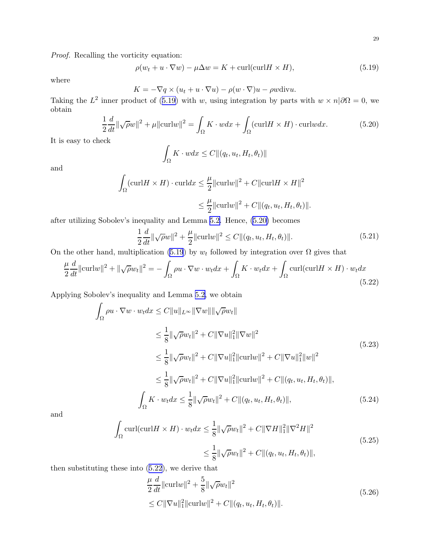<span id="page-28-0"></span>Proof. Recalling the vorticity equation:

$$
\rho(w_t + u \cdot \nabla w) - \mu \Delta w = K + \text{curl}(\text{curl}H \times H), \tag{5.19}
$$

where

$$
K = -\nabla q \times (u_t + u \cdot \nabla u) - \rho(w \cdot \nabla)u - \rho w \text{div} u.
$$

Taking the  $L^2$  inner product of (5.19) with w, using integration by parts with  $w \times n/\partial\Omega = 0$ , we obtain

$$
\frac{1}{2}\frac{d}{dt}\|\sqrt{\rho}w\|^2 + \mu\|\text{curl}w\|^2 = \int_{\Omega} K \cdot wdx + \int_{\Omega} (\text{curl}H \times H) \cdot \text{curl}wdx. \tag{5.20}
$$

It is easy to check

$$
\int_{\Omega} K \cdot w dx \leq C ||(q_t, u_t, H_t, \theta_t)||
$$

and

$$
\int_{\Omega} (\text{curl} H \times H) \cdot \text{curl} dx \le \frac{\mu}{2} ||\text{curl} w||^2 + C ||\text{curl} H \times H||^2
$$
  

$$
\le \frac{\mu}{2} ||\text{curl} w||^2 + C ||(q_t, u_t, H_t, \theta_t)||.
$$

after utilizing Sobolev's inequality and Lemma [5.2.](#page-26-0) Hence, (5.20) becomes

$$
\frac{1}{2}\frac{d}{dt}\|\sqrt{\rho}w\|^2 + \frac{\mu}{2}\|\text{curl}w\|^2 \le C\|(q_t, u_t, H_t, \theta_t)\|.
$$
\n(5.21)

On the other hand, multiplication (5.19) by  $w_t$  followed by integration over  $\Omega$  gives that

$$
\frac{\mu}{2}\frac{d}{dt}\|\text{curl}w\|^2 + \|\sqrt{\rho}w_t\|^2 = -\int_{\Omega}\rho u \cdot \nabla w \cdot w_t dx + \int_{\Omega} K \cdot w_t dx + \int_{\Omega}\text{curl}(\text{curl}H \times H) \cdot w_t dx
$$
\n(5.22)

Applying Sobolev's inequality and Lemma [5.2,](#page-26-0) we obtain

$$
\int_{\Omega} \rho u \cdot \nabla w \cdot w_t dx \leq C \|u\|_{L^{\infty}} \|\nabla w\| \|\sqrt{\rho} w_t\|
$$
\n
$$
\leq \frac{1}{8} \|\sqrt{\rho} w_t\|^2 + C \|\nabla u\|_1^2 \|\nabla w\|^2
$$
\n
$$
\leq \frac{1}{8} \|\sqrt{\rho} w_t\|^2 + C \|\nabla u\|_1^2 \|\text{curl} w\|^2 + C \|\nabla u\|_1^2 \|w\|^2
$$
\n
$$
\leq \frac{1}{8} \|\sqrt{\rho} w_t\|^2 + C \|\nabla u\|_1^2 \|\text{curl} w\|^2 + C \|(q_t, u_t, H_t, \theta_t)\|,
$$
\n
$$
\int_{\Omega} K \cdot w_t dx \leq \frac{1}{8} \|\sqrt{\rho} w_t\|^2 + C \|(q_t, u_t, H_t, \theta_t)\|,
$$
\n(5.24)

and

$$
\int_{\Omega} \text{curl}(\text{curl}H \times H) \cdot w_t dx \le \frac{1}{8} \|\sqrt{\rho}w_t\|^2 + C \|\nabla H\|_1^2 \|\nabla^2 H\|^2
$$
\n
$$
\le \frac{1}{8} \|\sqrt{\rho}w_t\|^2 + C \|(q_t, u_t, H_t, \theta_t)\|,
$$
\n(5.25)

then substituting these into (5.22), we derive that

$$
\frac{\mu}{2} \frac{d}{dt} ||\text{curl}w||^2 + \frac{5}{8} ||\sqrt{\rho}w_t||^2
$$
\n
$$
\leq C ||\nabla u||_1^2 ||\text{curl}w||^2 + C ||(q_t, u_t, H_t, \theta_t)||. \tag{5.26}
$$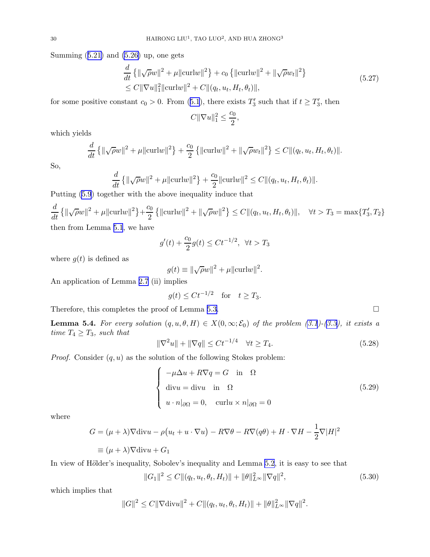<span id="page-29-0"></span>Summing $(5.21)$  $(5.21)$  and  $(5.26)$  up, one gets

$$
\frac{d}{dt} \{ ||\sqrt{\rho}w||^2 + \mu ||\text{curl}w||^2 \} + c_0 \{ ||\text{curl}w||^2 + ||\sqrt{\rho}w_t||^2 \} \n\leq C ||\nabla u||_1^2 ||\text{curl}w||^2 + C ||(q_t, u_t, H_t, \theta_t)||,
$$
\n(5.27)

forsome positive constant  $c_0 > 0$ . From ([5.1](#page-24-0)), there exists  $T'_3$  such that if  $t \geq T'_3$ , then

$$
C\|\nabla u\|_1^2 \leq \frac{c_0}{2},
$$

which yields

$$
\frac{d}{dt} \left\{ \|\sqrt{\rho}w\|^2 + \mu \|\text{curl}w\|^2 \right\} + \frac{c_0}{2} \left\{ \|\text{curl}w\|^2 + \|\sqrt{\rho}w_t\|^2 \right\} \le C \| (q_t, u_t, H_t, \theta_t) \|.
$$

So,

$$
\frac{d}{dt} \left\{ ||\sqrt{\rho}w||^2 + \mu ||\text{curl}w||^2 \right\} + \frac{c_0}{2} ||\text{curl}w||^2 \le C ||(q_t, u_t, H_t, \theta_t)||.
$$

Putting [\(5.9](#page-26-0)) together with the above inequality induce that

$$
\frac{d}{dt} \{ ||\sqrt{\rho}w||^2 + \mu ||\text{curl}w||^2 \} + \frac{c_0}{2} \{ ||\text{curl}w||^2 + ||\sqrt{\rho}w||^2 \} \le C ||(q_t, u_t, H_t, \theta_t)||, \quad \forall t > T_3 = \max\{T'_3, T_2\}
$$
  
then from Lemma 5.1, we have

$$
g'(t) + \frac{c_0}{2}g(t) \le Ct^{-1/2}, \ \forall t > T_3
$$

where  $g(t)$  is defined as

$$
g(t) \equiv \|\sqrt{\rho}w\|^2 + \mu \|\text{curl}w\|^2.
$$

An application of Lemma [2.7](#page-5-0) (ii) implies

$$
g(t) \le Ct^{-1/2} \quad \text{for} \quad t \ge T_3.
$$

Therefore, this completes the proof of Lemma [5.3.](#page-27-0)

**Lemma 5.4.** For every solution  $(q, u, \theta, H) \in X(0, \infty; \mathcal{E}_0)$  of the problem  $(3.1)-(3.3)$  $(3.1)-(3.3)$ , it exists a time  $T_4 \geq T_3$ , such that

$$
\|\nabla^2 u\| + \|\nabla q\| \le Ct^{-1/4} \quad \forall t \ge T_4. \tag{5.28}
$$

*Proof.* Consider  $(q, u)$  as the solution of the following Stokes problem:

$$
\begin{cases}\n-\mu \Delta u + R \nabla q = G & \text{in} \quad \Omega \\
\text{div} u = \text{div}u & \text{in} \quad \Omega \\
u \cdot n|_{\partial \Omega} = 0, & \text{curl} u \times n|_{\partial \Omega} = 0\n\end{cases}
$$
\n(5.29)

where

$$
G = (\mu + \lambda)\nabla \text{div}u - \rho(u_t + u \cdot \nabla u) - R\nabla \theta - R\nabla (q\theta) + H \cdot \nabla H - \frac{1}{2}\nabla |H|^2
$$
  

$$
\equiv (\mu + \lambda)\nabla \text{div}u + G_1
$$

In view of Hölder's inequality, Sobolev's inequality and Lemma [5.2](#page-26-0), it is easy to see that

$$
||G_1||^2 \le C ||(q_t, u_t, \theta_t, H_t)|| + ||\theta||_{L^{\infty}}^2 ||\nabla q||^2,
$$
\n(5.30)

which implies that

$$
||G||^{2} \leq C||\nabla \text{div} u||^{2} + C||(q_{t}, u_{t}, \theta_{t}, H_{t})|| + ||\theta||_{L^{\infty}}^{2}||\nabla q||^{2}.
$$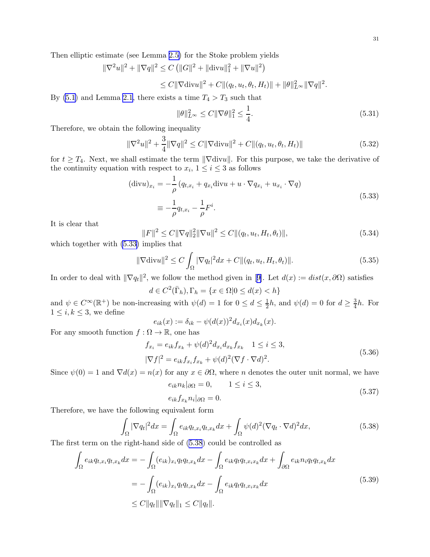<span id="page-30-0"></span>Then elliptic estimate (see Lemma [2.5\)](#page-5-0) for the Stoke problem yields

$$
\|\nabla^2 u\|^2 + \|\nabla q\|^2 \le C \left( \|G\|^2 + \|\text{div} u\|_1^2 + \|\nabla u\|^2 \right)
$$
  

$$
\le C \|\nabla \text{div} u\|^2 + C \|(q_t, u_t, \theta_t, H_t)\| + \|\theta\|_{L^\infty}^2 \|\nabla q\|^2.
$$

By [\(5.1](#page-24-0)) and Lemma [2.1](#page-4-0), there exists a time  $T_4 > T_3$  such that

$$
\|\theta\|_{L^{\infty}}^2 \le C\|\nabla\theta\|_{1}^2 \le \frac{1}{4}.\tag{5.31}
$$

Therefore, we obtain the following inequality

$$
\|\nabla^2 u\|^2 + \frac{3}{4}\|\nabla q\|^2 \le C\|\nabla \text{div} u\|^2 + C\|(q_t, u_t, \theta_t, H_t)\|
$$
\n(5.32)

for  $t \geq T_4$ . Next, we shall estimate the term  $\|\nabla \text{div}u\|$ . For this purpose, we take the derivative of the continuity equation with respect to  $x_i$ ,  $1 \le i \le 3$  as follows

$$
(\text{div}u)_{x_i} = -\frac{1}{\rho} \left( q_{t,x_i} + q_{x_i} \text{div}u + u \cdot \nabla q_{x_i} + u_{x_i} \cdot \nabla q \right)
$$
  

$$
\equiv -\frac{1}{\rho} q_{t,x_i} - \frac{1}{\rho} F^i.
$$
 (5.33)

It is clear that

$$
||F||^2 \le C||\nabla q||_2^2 ||\nabla u||^2 \le C||(q_t, u_t, H_t, \theta_t)||,
$$
\n(5.34)

which together with (5.33) implies that

$$
\|\nabla \operatorname{div} u\|^2 \le C \int_{\Omega} |\nabla q_t|^2 dx + C \|(q_t, u_t, H_t, \theta_t)\|.
$$
\n(5.35)

Inorder to deal with  $\|\nabla q_t\|^2$ , we follow the method given in [[9\]](#page-32-0). Let  $d(x) := dist(x, \partial \Omega)$  satisfies

 $d \in C^2(\overline{\Gamma}_h), \Gamma_h = \{x \in \Omega | 0 \leq d(x) < h\}$ 

and  $\psi \in C^{\infty}(\mathbb{R}^+)$  be non-increasing with  $\psi(d) = 1$  for  $0 \le d \le \frac{1}{2}h$ , and  $\psi(d) = 0$  for  $d \ge \frac{3}{4}h$ . For  $1 \leq i, k \leq 3$ , we define

$$
e_{ik}(x) := \delta_{ik} - \psi(d(x))^2 d_{x_i}(x) d_{x_k}(x).
$$

For any smooth function  $f : \Omega \to \mathbb{R}$ , one has

$$
f_{x_i} = e_{ik} f_{x_k} + \psi(d)^2 d_{x_i} d_{x_k} f_{x_k} \quad 1 \le i \le 3,
$$
  

$$
|\nabla f|^2 = e_{ik} f_{x_i} f_{x_k} + \psi(d)^2 (\nabla f \cdot \nabla d)^2.
$$
 (5.36)

Since  $\psi(0) = 1$  and  $\nabla d(x) = n(x)$  for any  $x \in \partial \Omega$ , where n denotes the outer unit normal, we have

$$
e_{ik}n_k|_{\partial\Omega} = 0, \qquad 1 \le i \le 3,
$$
\n<sup>(5.37)</sup>

$$
e_{ik}f_{x_k}n_i|_{\partial\Omega}=0.
$$

Therefore, we have the following equivalent form

$$
\int_{\Omega} |\nabla q_t|^2 dx = \int_{\Omega} e_{ik} q_{t,x_i} q_{t,x_k} dx + \int_{\Omega} \psi(d)^2 (\nabla q_t \cdot \nabla d)^2 dx,
$$
\n(5.38)

The first term on the right-hand side of (5.38) could be controlled as

$$
\int_{\Omega} e_{ik} q_{t,x_i} q_{t,x_k} dx = - \int_{\Omega} (e_{ik})_{x_i} q_t q_{t,x_k} dx - \int_{\Omega} e_{ik} q_t q_{t,x_ix_k} dx + \int_{\partial \Omega} e_{ik} n_i q_t q_{t,x_k} dx
$$
\n
$$
= - \int_{\Omega} (e_{ik})_{x_i} q_t q_{t,x_k} dx - \int_{\Omega} e_{ik} q_t q_{t,x_ix_k} dx
$$
\n
$$
\leq C ||q_t|| ||\nabla q_t||_1 \leq C ||q_t||. \tag{5.39}
$$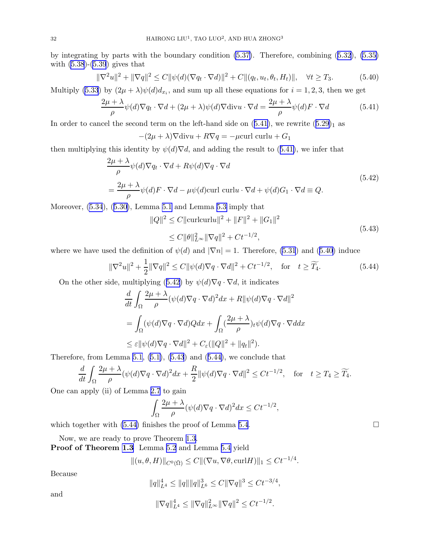by integrating by parts with the boundary condition [\(5.37\)](#page-30-0). Therefore, combining([5.32](#page-30-0)), [\(5.35\)](#page-30-0) with  $(5.38)$ - $(5.39)$  $(5.39)$  gives that

$$
\|\nabla^2 u\|^2 + \|\nabla q\|^2 \le C\|\psi(d)(\nabla q_t \cdot \nabla d)\|^2 + C\|(q_t, u_t, \theta_t, H_t)\|, \quad \forall t \ge T_3.
$$
 (5.40)

Multiply [\(5.33](#page-30-0)) by  $(2\mu + \lambda)\psi(d)dx_i$ , and sum up all these equations for  $i = 1, 2, 3$ , then we get

$$
\frac{2\mu + \lambda}{\rho} \psi(d) \nabla q_t \cdot \nabla d + (2\mu + \lambda)\psi(d) \nabla \text{div} u \cdot \nabla d = \frac{2\mu + \lambda}{\rho} \psi(d) F \cdot \nabla d \tag{5.41}
$$

In order to cancel the second term on the left-hand side on  $(5.41)$ , we rewrite  $(5.29)<sub>1</sub>$  $(5.29)<sub>1</sub>$  $(5.29)<sub>1</sub>$  as

$$
-(2\mu + \lambda)\nabla \text{div} u + R\nabla q = -\mu \text{curl curl} u + G_1
$$

then multiplying this identity by  $\psi(d)\nabla d$ , and adding the result to (5.41), we infer that

$$
\frac{2\mu + \lambda}{\rho} \psi(d)\nabla q_t \cdot \nabla d + R\psi(d)\nabla q \cdot \nabla d
$$
\n
$$
= \frac{2\mu + \lambda}{\rho} \psi(d)F \cdot \nabla d - \mu\psi(d)\text{curl curl} u \cdot \nabla d + \psi(d)G_1 \cdot \nabla d \equiv Q.
$$
\n(5.42)

Moreover, [\(5.34](#page-30-0)),([5.30\)](#page-29-0), Lemma [5.1](#page-24-0) and Lemma [5.3](#page-27-0) imply that

$$
||Q||^2 \le C||\text{curlcurl}||^2 + ||F||^2 + ||G_1||^2
$$
  
\n
$$
\le C||\theta||_{L^{\infty}}^2 ||\nabla q||^2 + Ct^{-1/2},
$$
\n(5.43)

where we have used the definition of  $\psi(d)$  and  $|\nabla n| = 1$ . Therefore, [\(5.31](#page-30-0)) and (5.40) induce

$$
\|\nabla^2 u\|^2 + \frac{1}{2}\|\nabla q\|^2 \le C\|\psi(d)\nabla q \cdot \nabla d\|^2 + Ct^{-1/2}, \quad \text{for} \quad t \ge \widetilde{T_4}.\tag{5.44}
$$

On the other side, multiplying (5.42) by  $\psi(d)\nabla q \cdot \nabla d$ , it indicates

$$
\frac{d}{dt} \int_{\Omega} \frac{2\mu + \lambda}{\rho} (\psi(d)\nabla q \cdot \nabla d)^2 dx + R \|\psi(d)\nabla q \cdot \nabla d\|^2
$$
  
= 
$$
\int_{\Omega} (\psi(d)\nabla q \cdot \nabla d) Q dx + \int_{\Omega} (\frac{2\mu + \lambda}{\rho})_t \psi(d) \nabla q \cdot \nabla d dx
$$
  

$$
\leq \varepsilon \|\psi(d)\nabla q \cdot \nabla d\|^2 + C_{\varepsilon} (\|Q\|^2 + \|q_t\|^2).
$$

Therefore, from Lemma [5.1](#page-24-0), $(5.1)$  $(5.1)$ ,  $(5.43)$  and  $(5.44)$ , we conclude that

$$
\frac{d}{dt} \int_{\Omega} \frac{2\mu + \lambda}{\rho} (\psi(d)\nabla q \cdot \nabla d)^2 dx + \frac{R}{2} ||\psi(d)\nabla q \cdot \nabla d||^2 \le Ct^{-1/2}, \text{ for } t \ge T_4 \ge \widetilde{T_4}.
$$

One can apply (ii) of Lemma [2.7](#page-5-0) to gain

$$
\int_{\Omega} \frac{2\mu + \lambda}{\rho} (\psi(d)\nabla q \cdot \nabla d)^2 dx \leq Ct^{-1/2},
$$

which together with  $(5.44)$  finishes the proof of Lemma [5.4](#page-29-0).

Now, we are ready to prove Theorem [1.3.](#page-3-0) Proof of Theorem [1.3](#page-3-0) Lemma [5.2](#page-26-0) and Lemma [5.4](#page-29-0) yield

$$
\|(u,\theta,H)\|_{C^0(\bar{\Omega})} \le C\|(\nabla u,\nabla \theta,\mathrm{curl} H)\|_1 \le Ct^{-1/4}.
$$

Because

$$
||q||_{L^{4}}^{4} \leq ||q|| ||q||_{L^{6}}^{3} \leq C||\nabla q||^{3} \leq Ct^{-3/4},
$$

and

$$
\|\nabla q\|_{L^4}^4 \le \|\nabla q\|_{L^\infty}^2 \|\nabla q\|^2 \le Ct^{-1/2}.
$$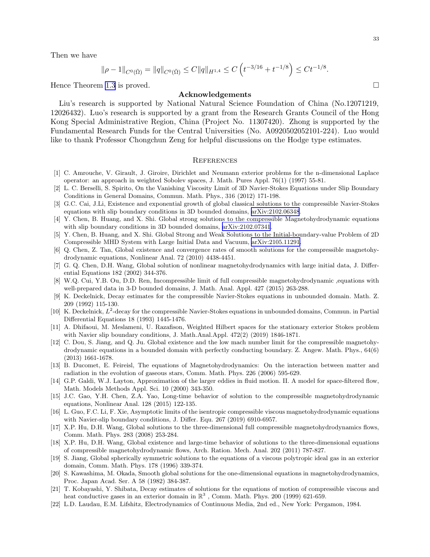<span id="page-32-0"></span>Then we have

$$
\|\rho-1\|_{C^0(\bar{\Omega})} = \|q\|_{C^0(\bar{\Omega})} \le C \|q\|_{H^{1,4}} \le C\left(t^{-3/16} + t^{-1/8}\right) \le C t^{-1/8}.
$$

Hence Theorem [1.3](#page-3-0) is proved.

#### Acknowledgements

Liu's research is supported by National Natural Science Foundation of China (No.12071219, 12026432). Luo's research is supported by a grant from the Research Grants Council of the Hong Kong Special Administrative Region, China (Project No. 11307420). Zhong is supported by the Fundamental Research Funds for the Central Universities (No. A0920502052101-224). Luo would like to thank Professor Chongchun Zeng for helpful discussions on the Hodge type estimates.

#### **REFERENCES**

- [1] C. Amrouche, V. Girault, J. Giroire, Dirichlet and Neumann exterior problems for the n-dimensional Laplace operator: an approach in weighted Sobolev spaces, J. Math. Pures Appl. 76(1) (1997) 55-81.
- [2] L. C. Berselli, S. Spirito, On the Vanishing Viscosity Limit of 3D Navier-Stokes Equations under Slip Boundary Conditions in General Domains, Commun. Math. Phys., 316 (2012) 171-198.
- [3] G.C. Cai, J.Li, Existence and exponential growth of global classical solutions to the compressible Navier-Stokes equations with slip boundary conditions in 3D bounded domains, [arXiv:2102.06348](http://arxiv.org/abs/2102.06348).
- [4] Y. Chen, B. Huang, and X. Shi. Global strong solutions to the compressible Magnetohydrodynamic equations with slip boundary conditions in 3D bounded domains,  $arXiv:2102.07341$ .
- [5] Y. Chen, B. Huang, and X. Shi. Global Strong and Weak Solutions to the Initial-boundary-value Problem of 2D Compressible MHD System with Large Initial Data and Vacuum, [arXiv:2105.11291.](http://arxiv.org/abs/2105.11291)
- [6] Q. Chen, Z. Tan, Global existence and convergence rates of smooth solutions for the compressible magnetohydrodynamic equations, Nonlinear Anal. 72 (2010) 4438-4451.
- [7] G. Q. Chen, D.H. Wang, Global solution of nonlinear magnetohydrodynamics with large initial data, J. Differential Equations 182 (2002) 344-376.
- [8] W.Q. Cui, Y.B. Ou, D.D. Ren, Incompressible limit of full compressible magnetohydrodynamic ,equations with well-prepared data in 3-D bounded domains, J. Math. Anal. Appl. 427 (2015) 263-288.
- [9] K. Deckelnick, Decay estimates for the compressible Navier-Stokes equations in unbounded domain. Math. Z. 209 (1992) 115-130.
- [10] K. Deckelnick,  $L^2$ -decay for the compressible Navier-Stokes equations in unbounded domains, Commun. in Partial Differential Equations 18 (1993) 1445-1476.
- [11] A. Dhifaoui, M. Meslameni, U. Razafison, Weighted Hilbert spaces for the stationary exterior Stokes problem with Navier slip boundary conditions, J. Math.Anal.Appl. 472(2) (2019) 1846-1871.
- [12] C. Dou, S. Jiang, and Q. Ju. Global existence and the low mach number limit for the compressible magnetohydrodynamic equations in a bounded domain with perfectly conducting boundary. Z. Angew. Math. Phys., 64(6) (2013) 1661-1678.
- [13] B. Ducomet, E. Feireisl, The equations of Magnetohydrodynamics: On the interaction between matter and radiation in the evolution of gaseous stars, Comm. Math. Phys. 226 (2006) 595-629.
- [14] G.P. Galdi, W.J. Layton, Approximation of the larger eddies in fluid motion. II. A model for space-filtered flow, Math. Models Methods Appl. Sci. 10 (2000) 343-350.
- [15] J.C. Gao, Y.H. Chen, Z.A. Yao, Long-time behavior of solution to the compressible magnetohydrodynamic equations, Nonlinear Anal. 128 (2015) 122-135.
- [16] L. Guo, F.C. Li, F. Xie, Asymptotic limits of the isentropic compressible viscous magnetohydrodynamic equations with Navier-slip boundary conditions, J. Differ. Equ. 267 (2019) 6910-6957.
- [17] X.P. Hu, D.H. Wang, Global solutions to the three-dimensional full compressible magnetohydrodynamics flows, Comm. Math. Phys. 283 (2008) 253-284.
- [18] X.P. Hu, D.H. Wang, Global existence and large-time behavior of solutions to the three-dimensional equations of compressible magnetohydrodynamic flows, Arch. Ration. Mech. Anal. 202 (2011) 787-827.
- [19] S. Jiang, Global spherically symmetric solutions to the equations of a viscous polytropic ideal gas in an exterior domain, Comm. Math. Phys. 178 (1996) 339-374.
- [20] S. Kawashima, M. Okada, Smooth global solutions for the one-dimensional equations in magnetohydrodynamics, Proc. Japan Acad. Ser. A 58 (1982) 384-387.
- [21] T. Kobayashi, Y. Shibata, Decay estimates of solutions for the equations of motion of compressible viscous and heat conductive gases in an exterior domain in  $\mathbb{R}^3$ , Comm. Math. Phys. 200 (1999) 621-659.
- [22] L.D. Laudau, E.M. Lifshitz, Electrodynamics of Continuous Media, 2nd ed., New York: Pergamon, 1984.